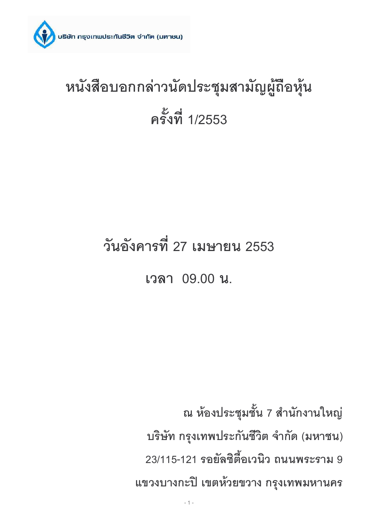

# หนังสือบอกกล่าวนัดประชุมสามัญผู้ถือหุ้น ครั้งที่ 1/2553

# วันอังคารที่ 27 เมษายน 2553

เวลา 09.00 น.

ณ ห้องประชุมชั้น 7 สำนักงานใหญ่ บริษัท กรุงเทพประกันชีวิต จำกัด (มหาชน) 23/115-121 รอยัลซิตี้อเวนิว ถนนพระราม 9 แขวงบางกะปิ เขตห้วยขวาง กรุงเทพมหานคร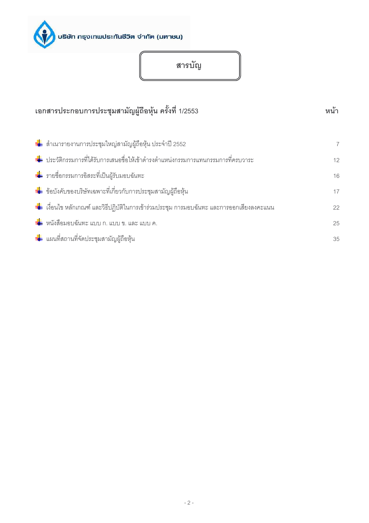

สารบัญ

| เอกสารประกอบการประชุมสามัญผู้ถือหุ้น ครั้งที่ 1/2553                                              |                |  |  |  |
|---------------------------------------------------------------------------------------------------|----------------|--|--|--|
| ้ ∎ี่ สำเนารายงานการประชุมใหญ่สามัญผู้ถือหุ้น ประจำปี 2552                                        | $\overline{7}$ |  |  |  |
| ้ <del>ปุ๋ย</del> ประวัติกรรมการที่ได้รับการเสนอชื่อให้เข้าดำรงตำแหน่งกรรมการแทนกรรมการที่ครบวาระ | 12             |  |  |  |
| <del>่น่</del> รายชื่อกรรมการอิสระที่เป็นผู้รับมอบฉันทะ                                           | 16             |  |  |  |
| <del>∎้∎</del> ข้อบังคับของบริษัทเฉพาะที่เกี่ยวกับการประชุมสามัญผู้ถือหุ้น                        | 17             |  |  |  |
| ่ – แล่ือนไข หลักเกณฑ์ และวิธีปฏิบัติในการเข้าร่วมประชุม การมอบฉันทะ และการออกเสียงลงคะแนน        | 22             |  |  |  |
| ้ <mark>↓</mark> หนังสือมอบฉันทะ แบบ ก. แบบ ข. และ แบบ ค.                                         | 25             |  |  |  |
| <del>+</del> แผนที่สถานที่จัดประชุมสามัญผู้ถือหุ้น                                                | 35             |  |  |  |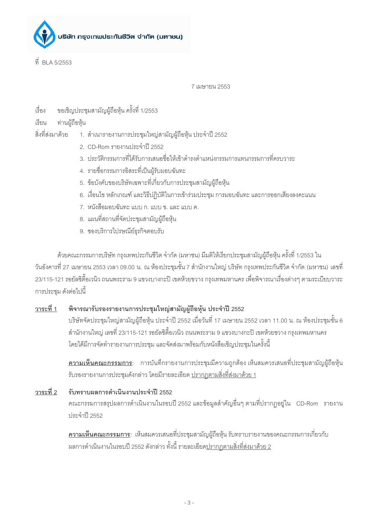

ที่ BLA 5/2553

7 1119478111 2553

- ขอเชิญประชุมสามัญผู้ถือหุ้น ครั้งที่ 1/2553 ้<br>เริ่คง
- เรียน ท่านผ้ถือห้น

สิ่งที่ส่งมาด้วย 1. สำเนารายงานการประชุมใหญ่สามัญผู้ถือหุ้น ประจำปี 2552

- 2. CD-Rom รายงานประจำปี 2552
- 3. ประวัติกรรมการที่ได้รับการเสนอชื่อให้เข้าดำรงตำแหน่งกรรมการแทนกรรมการที่ครบวาระ
- 4. รายชื่อกรรมการอิสระที่เป็นผู้รับมอบฉันทะ
- 5. ข้อบังคับของบริษัทเฉพาะที่เกี่ยวกับการประชุมสามัญผู้ถือหุ้น
- 6. เงื่อนไข หลักเกณฑ์ และวิธีปฏิบัติในการเข้าร่วมประชุม การมอบฉันทะ และการออกเสี่ยงลงคะแนน
- 7. หนังสือมอบฉันทะ แบบ ก. แบบ ข. และ แบบ ค.
- 8. แผนที่สถานที่จัดประชุมสามัญผู้ถือหุ้น
- 9. ซองบริการไปรษณีย์ธุรกิจตอบรับ

้ด้วยคณะกรรมการบริษัท กรุงเทพประกันชีวิต จำกัด (มหาชน) มีมติให้เรียกประชุมสามัญผู้ถือหุ้น ครั้งที่ 1/2553 ใน ้วันอังคารที่ 27 เมษายน 2553 เวลา 09.00 น. ณ ห้องประชุมชั้น 7 สำนักงานใหญ่ บริษัท กรุงเทพประกันชีวิต จำกัด (มหาชน) เลขที่ ่ 23/115-121 รอยัลซิตี้อเวนิว ถนนพระราม 9 แขวงบางกะปิ เขตห้วยขวาง กรุงเทพมหานคร เพื่อพิจารณาเรื่องต่างๆ ตามระเบียบวาระ การประชม ดังต่อไปนี้

#### ้พิจารณารับรองรายงานการประชุมใหญ่สามัญผู้ถือหุ้น ประจำปี 2552 วาระที่ 1

บริษัทจัดประชุมใหญ่สามัญผู้ถือหุ้น ประจำปี 2552 เมื่อวันที่ 17 เมษายน 2552 เวลา 11.00 น. ณ ห้องประชุมชั้น 6 ้สำนักงานใหญ่ เลขที่ 23/115-121 รอยัลซิตี้อเวนิว ถนนพระราม 9 แขวงบางกะปิ เขตห้วยขวาง กรุงเทพมหานคร โดยได้มีการจัดทำรายงานการประชม และจัดส่งมาพร้อมกับหนังสือเชิญประชมในครั้งนี้

<u>ี ความเห็นคณะกรรมการ</u>: การบันทึกรายงานการประชุมมีความถูกต้อง เห็นสมควรเสนอที่ประชุมสามัญผู้ถือหุ้น <u>รับรองรายงานการประชุมดังกล่าว โดยมีรายละเอียด ปรากฦตามสิ่งที่ส่งมาด้วย 1</u>

วาระที่ 2 รับทราบผลการดำเนินงานประจำปี 2552 คณะกรรมการสรุปผลการดำเนินงานในรอบปี 2552 และข้อมูลสำคัญอื่นๆ ตามที่ปรากฏอยู่ใน CD-Rom รายงาน ประจำปี 2552

> <u>ความเห็นคณะกรรมการ</u>: เห็นสมควรเสนอที่ประชุมสามัญผู้ถือหุ้น รับทราบรายงานของคณะกรรมการเกี่ยวกับ ผลการดำเนินงานในรอบปี 2552 ดังกล่าว ทั้งนี้ รายละเอียดปรากภตามสิ่งที่ส่งมาด้วย 2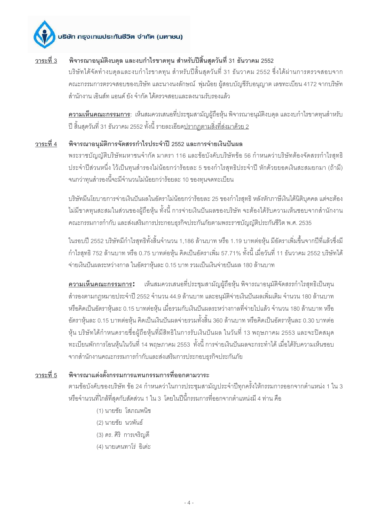#### ้พิจารณาอนุมัติงบดุล และงบกำไรขาดทุน สำหรับปีสิ้นสุดวันที่ 31 ธันวาคม 2552 วาระที่ 3

ึบริษัทได้จัดทำงบดุลและงบกำไรขาดทุน สำหรับปี่สิ้นสุดวันที่ 31 ธันวาคม 2552 ซึ่งได้ผ่านการตรวจสอบจาก คณะกรรมการตรวจสอบของบริษัท และนางนงลักษณ์ พุ่มน้อย ผู้สอบบัญชีรับอนุญาต เลขทะเบียน 4172 จากบริษัท ล้านักงาน เอินส์ท แอนด์ ยัง จำกัด ได้ตรวจสอบและลงนามรับรองแล้ว

**ความเห็นคณะกรรมการ**: เห็นสมควรเสนอที่ประชุมสามัญผู้ถือหุ้น พิจารณาอนุมัติงบดุล และงบกำไรขาดทุนสำหรับ ปี สิ้นสุดวันที่ 31 ธันวาคม 2552 ทั้งนี้ รายละเอียดปรากฦตามสิ่งที่ส่งมาด้วย 2

#### พิจารณาอนุมัติการจัดสรรกำไรประจำปี 2552 และการจ่ายเงินปันผล วาระที่ 4

พระราชบัญญัติบริษัทมหาชนจำกัด มาตรา 116 และข้อบังคับบริษัทข้อ 56 กำหนดว่าบริษัทต้องจัดสรรกำไรสุทธิ ประจำปีส่วนหนึ่ง ไว้เป็นทุนสำรองไม่น้อยกว่าร้อยละ 5 ของกำไรสุทธิประจำปี หักด้วยยอดเงินสะสมยกมา (ถ้ามี) จนกว่าทุนสำรองนี้จะมีจำนวนไม่น้อยกว่าร้อยละ 10 ของทุนจดทะเบียน

บริษัทมีนโยบายการจ่ายเงินปันผลในอัตราไม่น้อยกว่าร้อยละ 25 ของกำไรสุทธิ หลังหักภาษีเงินได้นิติบุคคล แต่จะต้อง ไม่มีขาดทุนสะสมในส่วนของผู้ถือหุ้น ทั้งนี้ การจ่ายเงินปันผลของบริษัท จะต้องได้รับความเห็นชอบจากสำนักงาน คณะกรรมการกำกับ และส่งเสริมการประกอบธุรกิจประกันภัยตามพระราชบัญญัติประกันชีวิต พ.ศ. 2535

ในรอบปี 2552 บริษัทมีกำไรสุทธิทั้งสิ้นจำนวน 1,186 ล้านบาท หรือ 1.19 บาทต่อหุ้น มีอัตราเพิ่มขึ้นจากปีที่แล้วซึ่งมี กำไรสุทธิ 752 ล้านบาท หรือ 0.75 บาทต่อหุ้น คิดเป็นอัตราเพิ่ม 57.71% ทั้งนี้ เมื่อวันที่ 11 ธันวาคม 2552 บริษัทได้ จ่ายเงินปันผลระหว่างกาล ในอัตราหุ้นละ 0.15 บาท รวมเป็นเงินจ่ายปันผล 180 ล้านบาท

**ความเห็นคณะกรรมการ:** เห็นสมควรเสนอที่ประชุมสามัญผู้ถือหุ้น พิจารณาอนุมัติจัดสรรกำไรสุทธิเป็นทุน ้สำรองตามกฎหมายประจำปี 2552 จำนวน 44.9 ล้านบาท และอนุมัติจ่ายเงินปันผลเพิ่มเติม จำนวน 180 ล้านบาท หรือคิดเป็นอัตราหุ้นละ 0.15 บาทต่อหุ้น เมื่อรวมกับเงินปันผลระหว่างกาลที่จ่ายไปแล้ว จำนวน 180 ล้านบาท หรือ อัตราหุ้นละ 0.15 บาทต่อหุ้น คิดเป็นเงินปันผลจ่ายรวมทั้งสิ้น 360 ล้านบาท หรือคิดเป็นอัตราหุ้นละ 0.30 บาทต่อ หุ้น บริษัทได้กำหนดรายชื่อผู้ถือหุ้นที่มีสิทธิในการรับเงินปันผล ในวันที่ 13 พฤษภาคม 2553 และจะปิดสมุด ทะเบียนพักการโอนห้นในวันที่ 14 พฤษภาคม 2553 ทั้งนี้ การจ่ายเงินปันผลจะกระทำได้ เมื่อได้รับความเห็นชอบ จากสำนักงานคณะกรรมการกำกับและส่งเสริมการประกอบธุรกิจประกันภัย

#### พิจารณาแต่งตั้งกรรมการแทนกรรมการที่ออกตามวาระ วาระที่ 5

ตามข้อบังคับของบริษัท ข้อ 24 กำหนดว่าในการประชุมสามัญประจำปีทุกครั้งให้กรรมการออกจากตำแหน่ง 1 ใน 3 หรือจำนวนที่ใกล้ที่สุดกับสัดส่วน 1 ใน 3 โดยในปีนี้กรรมการที่ออกจากตำแหน่งมี 4 ท่าน คือ

- (1) นายชัย โสภณพนิช
- (2) นายชัย นวพันธ์
- (3) ดร. ศิริ การเจริญดี
- (4) นายเคนทาโร่ คิเด่ะ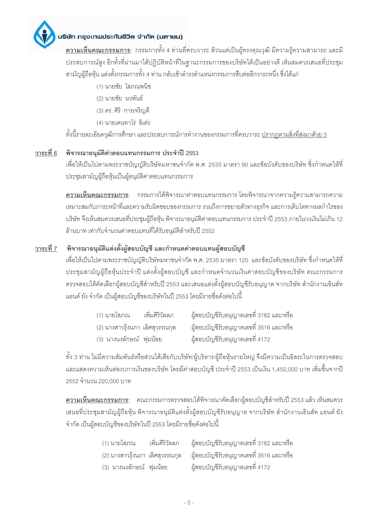

<u>ิ ควา<mark>มเห็นคณะกรรมการ</mark>: กรรมการทั้ง 4 ท่านที่ครบวาระ ล้วนแต่เป็นผู้ทรงคุณวุฒิ มีความรู้ความสามารถ และมี</u> ประสบการณ์สูง อีกทั้งที่ผ่านมาได้ปฏิบัติหน้าที่ในฐานะกรรมการของบริษัทได้เป็นอย่างดี เห็นสมควรเสนอที่ประชุม สามัญผู้ถือหุ้น แต่งตั้งกรรมการทั้ง 4 ท่าน กลับเข้าดำรงตำแหน่งกรรมการสืบต่ออีกวาระหนึ่ง ซึ่งได้แก่

- (1) นายชัย โสภณพนิช
- (2) นายชัย นวพันธ์
- (3) ดร. ศิริ การเจริญดี
- (4) นายเคนทาโร่ อิเด่ะ

์ทั้งนี้รายละเอียดวุฒิการศึกษา และประสบการณ์การทำงานของกรรมการที่ครบวาระ <u>ปรากฦตามสิ่งที่ส่งมาด้วย 3</u>

### <u>วาระที่ 6</u> พิจารณาอนุมัติค่าตอบแทนกรรมการ ประจำปี 2553

เพื่อให้เป็นไปตามพระราชบัญญัติบริษัทมหาชนจำกัด พ.ศ. 2535 มาตรา 90 และข้อบังคับของบริษัท ซึ่งกำหนดให้ที่ ประชุมสามัญผู้ถือหุ้นเป็นผู้อนุมัติค่าตอบแทนกรรมการ

<u>ิความเห็นคณะกรรมการ</u>: กรรมการได้พิจารณาค่าตอบแทนกรรมการ โดยพิจารณาจากความรู้ความสามารถความ ่ เหมาะสมกับภาระหน้าที่และความรับผิดชอบของกรรมการ รวมถึงการขยายตัวทางธุรกิจ และการเติบโตทางผลกำไรของ ้ บริษัท จึงเห็นสมควรเสนอที่ประชุมผู้ถือหุ้น พิจารณาอนุมัติค่าตอบแทนกรรมการ ประจำปี 2553 ภายในวงเงินไม่เกิน 12 ้ล้านบาท เท่ากับจำนวนค่าตอบแทนที่ได้รับอนุมัติสำหรับปี 2552

#### ี พิจารณาอนุมัติแต่งตั้งผู้สอบบัญชี และกำหนดค่าตอบแทนผู้สอบบัญชี วาระที่ 7

เพื่อให้เป็นไปตามพระราชบัญญัติบริษัทมหาชนจำกัด พ.ศ. 2535 มาตรา 120 และข้อบังคับของบริษัท ซึ่งกำหนดให้ที่ ประชุมสามัญผู้ถือหุ้นประจำปี แต่งตั้งผู้สอบบัญชี และกำหนดจำนวนเงินค่าสอบบัญชีของบริษัท คณะกรรมการ ตรวจสอบได้คัดเลือกผู้สอบบัญชีสำหรับปี 2553 และเสนอแต่งตั้งผู้สอบบัญชีรับอนุญาต จากบริษัท สำนักงานเอินส์ท แอนด์ ยัง จำกัด เป็นผ้สอบบัญชีของบริษัทในปี 2553 โดยมีรายชื่อดังต่อไปนี้

| (1) นายโสภณ                     | เพิ่มศิริวัลลภ | ผู้สอบบัญชีรับอนุญาตเลขที่ 3182 และ/หรือ |
|---------------------------------|----------------|------------------------------------------|
| (2) นางสาวรุ้งนภา เลิศสุวรรณกุล |                | ผู้สอบบัญชีรับอนุญาตเลขที่ 3516 และ/หรือ |
| (3) นางนงลักษณ์ พุ่มน้อย        |                | ผู้สอบบัญชีรับอนุญาตเลขที่ 4172          |

้ทั้ง 3 ท่าน ไม่มีความสัมพันธ์หรือส่วนได้เสียกับบริษัท/ผู้บริหาร/ผู้ถือหุ้นรายใหญ่ จึงมีความเป็นอิสระในการตรวจสอบ และแสดงความเห็นต่องบการเงินของบริษัท โดยมีค่าสอบบัญชี ประจำปี 2553 เป็นเงิน 1,450,000 บาท เพิ่มขึ้นจากปี 2552 จำนวน 220,000 บาท

<u>ี ความเห็นคณะกรรมการ</u>: คณะกรรมการตรวจสอบได้พิจารณาคัดเลือกผู้สอบบัญชีสำหรับปี 2553 แล้ว เห็นสมควร ้ เสนอที่ประชุมสามัญผู้ถือหุ้น พิจารณาอนุมัติแต่งตั้งผู้สอบบัญชีรับอนุญาต จากบริษัท สำนักงานเอินส์ท แอนด์ ยัง จำกัด เป็นผู้สอบบัญชีของบริษัทในปี 2553 โดยมีรายชื่อดังต่อไปนี้

| (1) นายโสภณ              | เพิ่มศิริวัลลภ | ผู้สอบบัญชีรับอนุญาตเลขที่ 3182 และ/หรือ                                        |
|--------------------------|----------------|---------------------------------------------------------------------------------|
|                          |                | (2) นางสาวรุ้งนภา  เลิศสุวรรณกุล       ผู้สอบบัญชีรับอนุญาตเลขที่ 3516 และ/หรือ |
| (3) นางนงลักษณ์ พุ่มน้อย |                | ผู้สอบบัญชีรับอนุญาตเลขที่ 4172                                                 |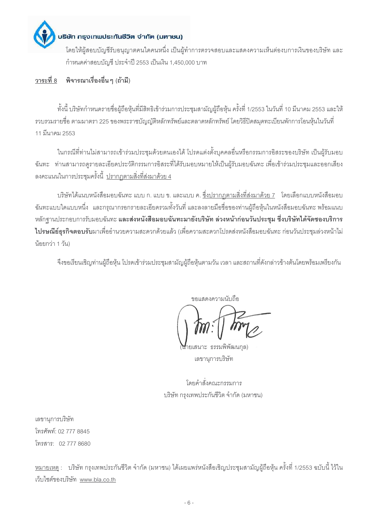

้กำหนดค่าสอบบัญชี ประจำปี 2553 เป็นเงิน 1,450,000 บาท

#### วาระที่ 8 พิจารณาเรื่องอื่น ๆ (ถ้ามี)

้ทั้งนี้ บริษัทกำหนดรายชื่อผู้ถือหุ้นที่มีสิทธิเข้าร่วมการประชุมสามัญผู้ถือหุ้น ครั้งที่ 1/2553 ในวันที่ 10 มีนาคม 2553 และให้ ้ รวบรวมรายชื่อ ตามมาตรา 225 ของพระราชบัณณัติหลักทรัพย์และตลาดหลักทรัพย์ โดยวิธีปิดสมดทะเบียนพักการโอนห้นในวันที่ 11 มีนาคม 2553

ในกรณีที่ท่านไม่สามารถเข้าร่วมประชุมด้วยตนเองได้ โปรดแต่งตั้งบุคคลอื่นหรือกรรมการอิสระของบริษัท เป็นผู้รับมอบ ้ ฉันทะ ท่านสามารถดูรายละเอียดประวัติกรรมการอิสระที่ได้รับมอบหมายให้เป็นผู้รับมอบฉันทะ เพื่อเข้าร่วมประชุมและออกเสียง ลงคะแนนในการประชุมครั้งนี้ <u>ปรากฦตามสิ่งที่ส่งมาด้วย 4</u>

้บริษัทได้แนบหนังสือมอบฉันทะ แบบ ก. แบบ ข. และแบบ ค. ซึ่งปรากภตามสิ่งที่ส่งมาด้วย 7 โดยเลือกแบบหนังสือมอบ ้ฉันทะแบบใดแบบหนึ่ง และกรุณากรอกรายละเอียดรวมทั้งวันที่ และลงลายมือชื่อของท่านผู้ถือหุ้นในหนังสือมอบฉันทะ พร้อมแนบ หลักฐานประกอบการรับมอบฉันทะ <mark>และส่งหนังสือมอบฉันทะมายังบริษัท ล่วงหน้าก่อนวันประชุม ซึ่งบริษัทได้จัดซองบริการ</mark> ไปรษณีย์ธุรกิจตอบรับมาเพื่ออำนวยความสะดวกด้วยแล้ว (เพื่อความสะดวกโปรดส่งหนังสือมอบฉันทะ ก่อนวันประชุมล่วงหน้าไม่ น้อยกว่า 1 วัน)

จึงขอเรียนเชิญท่านผู้ถือหุ้น โปรดเข้าร่วมประชุมสามัญผู้ถือหุ้นตามวัน เวลา และสถานที่ดังกล่าวข้างต้นโดยพร้อมเพรียงกัน

ขอแสดงความนับกือ

ยเสนาะ ธรรมพิพัฒนกล) เลขานุการบริษัท

โดยคำสั่งคณะกรรมการ บริษัท กรุงเทพประกันชีวิต จำกัด (มหาชน)

เลขานการบริษัท โทรศัพท์: 02 777 8845 โทรสาร: 02 777 8680

<u>ีหมายเหตุ</u> : บริษัท กรุงเทพประกันชีวิต จำกัด (มหาชน) ได้เผยแพร่หนังสือเชิญประชุมสามัญผู้ถือหุ้น ครั้งที่ 1/2553 ฉบับนี้ ไว้ใน เว็บไซต์ของบริษัท www.bla.co.th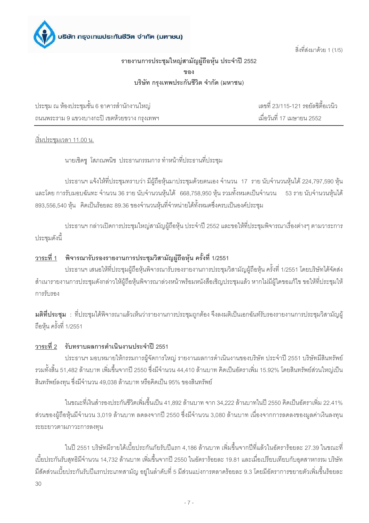สิ่งที่ส่งมาด้วย 1 (1/5)

## รายงานการประชุมใหญ่สามัญผู้ถือหุ้น ประจำปี 2552 ขคง บริษัท กรงเทพประกันชีวิต จำกัด (มหาชน)

ประชุม ณ ห้องประชุมชั้น 6 อาคารลำนักงานใหญ่ ถนนพระราม 9 แขวงบางกะปิ เขตห้วยขวาง กรุงเทพฯ

เลขที่ 23/115-121 รอยัลซิตี้อเวนิว เมื่อวันที่ 17 เมษายน 2552

้เริ่มประชมเวลา 11.00 น.

นายเชิดชู โสภณพนิช ประธานกรรมการ ทำหน้าที่ประธานที่ประชุม

ประธานฯ แจ้งให้ที่ประชุมทราบว่า มีผู้ถือหุ้นมาประชุมด้วยตนเอง จำนวน 17 ราย นับจำนวนหุ้นได้ 224,797,590 หุ้น และโดย การรับมอบฉันทะ จำนวน 36 ราย นับจำนวนหุ้นได้ 668,758,950 หุ้น รวมทั้งหมดเป็นจำนวน 53 ราย นับจำนวนหุ้นได้ 893,556,540 หุ้น คิดเป็นร้อยละ 89.36 ของจำนวนหุ้นที่จำหน่ายได้ทั้งหมดซึ่งครบเป็นองค์ประชุม

ประธานฯ กล่าวเปิดการประชุมใหญ่สามัญผู้ถือหุ้น ประจำปี 2552 และขอให้ที่ประชุมพิจารณาเรื่องต่างๆ ตามวาระการ ประชุมดังนี้

## <u>วาระที่ 1</u> พิจารณารับรองรายงานการประชุมวิสามัญผู้ถือหุ้น ครั้งที่ 1/2551

ประธานฯ เสนอให้ที่ประชุมผู้ถือหุ้นพิจารณารับรองรายงานการประชุมวิสามัญผู้ถือหุ้น ครั้งที่ 1/2551 โดยบริษัทได้จัดส่ง ้สำเนารายงานการประชุมดังกล่าวให้ผู้ถือหุ้นพิจารณาล่วงหน้าพร้อมหนังสือเชิญประชุมแล้ว หากไม่มีผู้ใดขอแก้ไข ขอให้ที่ประชุมให้ การรับรคง

**มติที่ประชุม** : ที่ประชุมได้พิจารณาแล้วเห็นว่ารายงานการประชุมถูกต้อง จึงลงมติเป็นเอกฉันท์รับรองรายงานการประชุมวิสามัญผู้ ถือหุ้น ครั้งที่ 1/2551

### วาระที่ 2 รับทราบผลการดำเนินงานประจำปี 2551

ประธานฯ มอบหมายให้กรรมการผู้จัดการใหญ่ รายงานผลการดำเนินงานของบริษัท ประจำปี 2551 บริษัทมีสินทรัพย์ รวมทั้งสิ้น 51,482 ล้านบาท เพิ่มขึ้นจากปี 2550 ซึ่งมีจำนวน 44,410 ล้านบาท คิดเป็นอัตราเพิ่ม 15.92% โดยสินทรัพย์ส่วนใหญ่เป็น ี สินทรัพย์ลงทุน ซึ่งมีจำนวน 49,038 ล้านบาท หรือคิดเป็น 95% ของสินทรัพย์

ในขณะที่เงินสำรองประกันชีวิตเพิ่มขึ้นเป็น 41,892 ล้านบาท จาก 34,222 ล้านบาทในปี 2550 คิดเป็นอัตราเพิ่ม 22.41% ้ ส่วนของผู้ถือหุ้นมีจำนวน 3,019 ล้านบาท ลดลงจากปี 2550 ซึ่งมีจำนวน 3,080 ล้านบาท เนื่องจากการลดลงของมูลค่าเงินลงทุน ระยะยาวตามภาวะการลงทุน

ในปี 2551 บริษัทมีรายได้เบี้ยประกันภัยรับปีแรก 4.186 ล้านบาท เพิ่มขึ้นจากปีที่แล้วในอัตราร้อยละ 27.39 ในขณะที่ เบี้ยประกันรับสุทธิมีจำนวน 14,732 ล้านบาท เพิ่มขึ้นจากปี 2550 ในอัตราร้อยละ 19.81 และเมื่อเปรียบเทียบกับอุตสาหกรรม บริษัท ้มีสัดส่วนเบี้ยประกันรับปีแรกประเภทสามัญ อยู่ในลำดับที่ 5 มีส่วนแบ่งการตลาดร้อยละ 9.3 โดยมีอัตราการขยายตัวเพิ่มขึ้นร้อยละ  $30$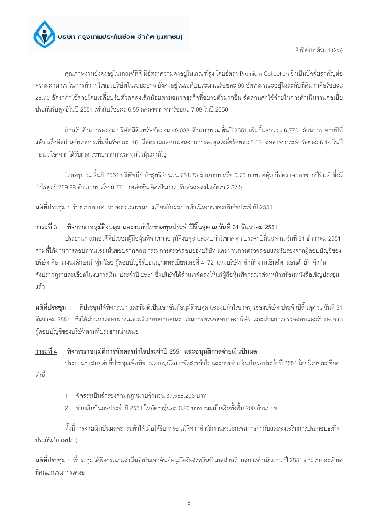

สิ่งที่ส่งมาด้วย 1 (2/5)

คุณภาพงานยังคงอยู่ในเกณฑ์ที่ดี มีอัตราความคงอยู่ในเกณฑ์สูง โดยอัตรา Premium Collection ซึ่งเป็นปัจจัยสำคัญต่อ ้ ความสามารถในการทำกำไรของบริษัทในระยะยาว ยังคงอยู่ในระดับประมาณร้อยละ 90 อัตรามรณะอยู่ในระดับที่ดีมากคือร้อยละ ่ 26.70 ขัตราค่าใช้จ่ายโดยเฉลี่ยปรับตัวลดลงเล็กน้อยตามขนาดธุรกิจที่ขยายตัวมากขึ้น สัดส่วนค่าใช้จ่ายในการดำเนินงานต่อเบี้ย ประกันรับสุทธิในปี 2551 เท่ากับร้อยละ 6.55 ลดลงจากจากร้อยละ 7.08 ในปี 2550

้ สำหรับด้านการลงทุน บริษัทมีสินทรัพย์ลงทุน 49,038 ล้านบาท ณ สิ้นปี 2551 เพิ่มขึ้นจำนวน 6,770 ล้านบาท จากปีที ี แล้ว หรือคิดเป็นอัตราการเพิ่มขึ้นร้อยละ 16 มีอัตราผลตอบแทนจากการลงทุนเฉลี่ยร้อยละ 5.03 ลดลงจากระดับร้อยละ 6.14 ในปี ้ก่อน เนื่องจากได้รับผลกระทบจากการลงทุนในหุ้นสามัญ

โดยสรุป ณ สิ้นปี 2551 บริษัทมีกำไรสุทธิจำนวน 751.73 ล้านบาท หรือ 0.75 บาทต่อหุ้น มีอัตราลดลงจากปีที่แล้วซึ่งมี กำไรสุทธิ 769.98 ล้านบาท หรือ 0.77 บาทต่อหุ้น คิดเป็นการปรับตัวลดลงในอัตรา 2.37%

ิ มต**ิที่ประชม** : รับทราบรายงานของคณะกรรมการเกี่ยวกับผลการดำเนินงานของบริษัทประจำปี 2551

#### พิจารณาอนุมัติงบดุล และงบกำไรขาดทุนประจำปีสิ้นสุด ณ วันที่ 31 ธันวาคม 2551 วาระที่ 3

ี ประธานฯ เสนอให้ที่ประชุมผู้ถือหุ้นพิจารณาอนุมัติงบดุล และงบกำไรขาดทุน ประจำปีสิ้นสุด ณ วันที่ 31 ธันวาคม 2551 ิตามที่ได้ผ่านการสอบทานและเห็นชอบจากคณะกรรมการตรวจสอบของบริษัท และผ่านการตรวจสอบและรับรองจากผู้สอบบัญชีของ ้บริษัท คือ นางนงลักษณ์ พุ่มน้อย ผู้สอบบัญชีรับอนุญาตทะเบียนเลขที่ 4172 แห่งบริษัท สำนักงานเอินส์ท แอนด์ ยัง จำกัด ดังปรากฏรายละเอียดในงบการเงิน ประจำปี 2551 ซึ่งบริษัทได้สำเนาจัดส่งให้แก่ผู้ถือหุ้นพิจารณาล่วงหน้าพร้อมหนังสือเชิญประชุม แล้ว

**มติที่ประชุม** : ที่ประชุมได้พิจารณา และมีมติเป็นเอกฉันท์อนุมัติงบดุล และงบกำไรขาดทุนของบริษัท ประจำปีสิ้นสุด ณ วันที่ 31 ้ธันวาคม 2551 - ซึ่งได้ผ่านการสอบทานและเห็นชอบจากคณะกรรมการตรวจสอบของบริษัท และผ่านการตรวจสอบและรับรองจาก ผู้สอบบัญชีของบริษัทตามที่ประธานนำเสนอ

#### วาระที่ 4 พิจารณาอนุมัติการจัดสรรกำไรประจำปี 2551 และอนุมัติการจ่ายเงินปันผล

ประธานฯ เสนอต่อที่ประชุมเพื่อพิจารณาอนุมัติการจัดสรรกำไร และการจ่ายเงินปันผลประจำปี 2551 โดยมีรายละเอียด ดังนี้

- 1. จัดสรรเป็นสำรองตามกฎหมายจำนวน 37,586,293 บาท
- 2. จ่ายเงินปันผลประจำปี 2551 ในอัตราหุ้นละ 0.20 บาท รวมเป็นเงินทั้งสิ้น 200 ล้านบาท

ทั้งนี้การจ่ายเงินปันผลจะกระทำได้เมื่อได้รับการอนุมัติจากสำนักงานคณะกรรมการกำกับและส่งเสริมการประกอบธุรกิจ ประกันภัย (คปภ.)

**มติที่ประชม** : ที่ประชมได้พิจารณาแล้วมีมติเป็นเอกฉันท์อนุมัติจัดสรรเงินปันผลสำหรับผลการดำเนินงาน ปี 2551 ตามรายละเอียด ที่คณะกรรมการเสนค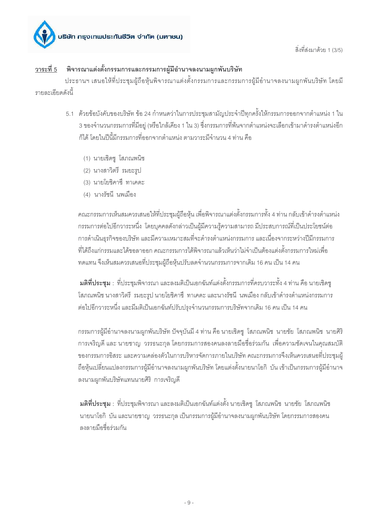

สิ่งที่ส่งมาด้วย 1 (3/5)

### พิจารณาแต่งตั้งกรรมการและกรรมการผู้มีอำนาจลงนามผูกพันบริษัท วาระที่ 5

ประธานฯ เสนอให้ที่ประชุมผู้ถือหุ้นพิจารณาแต่งตั้งกรรมการและกรรมการผู้มีอำนาจลงนามผูกพันบริษัท โดยมี รายละเคียดดังนี้

- 5.1 ด้วยข้อบังคับของบริษัท ข้อ 24 กำหนดว่าในการประชุมสามัญประจำปีทุกครั้งให้กรรมการออกจากตำแหน่ง 1 ใน ่ 3 ของจำนวนกรรมการที่มีอยู่ (หรือใกล้เคียง 1 ใน 3) ซึ่งกรรมการที่พ้นจากตำแหน่งจะเลือกเข้ามาดำรงตำแหน่งอีก ก็ได้ โดยในปีนี้มีกรรมการที่คอกจากตำแหน่ง ตามวาระมีจำนวน 4 ท่าน คือ
	- (1) นายเชิดชู โสภณพนิช
	- (2) นางสาวิตรี รมยะรูป
	- (3) นายโยชิคาซึ ทาเคดะ
	- (4) นางรัชนี นพเมือง

ิ คณะกรรมการเห็นสมควรเสนอให้ที่ประชุมผู้ถือหุ้น เพื่อพิจารณาแต่งตั้งกรรมการทั้ง 4 ท่าน กลับเข้าดำรงตำแหน่ง ้ กรรมการต่อไปอีกวาระหนึ่ง โดยบุคคลดังกล่าวเป็นผู้มีความรู้ความสามารถ มีประสบการณ์ที่เป็นประโยชน์ต่อ การดำเนินธุรกิจของบริษัท และมีความเหมาะสมที่จะดำรงตำแหน่งกรรมการ และเนื่องจากระหว่างปีมีกรรมการ ู้ที่ได้ถึงแก่กรรมและได้ขอลาคอก คณะกรรมการได้พิจารณาแล้วเห็นว่าไม่จำเป็นต้องแต่งตั้งกรรมการใหม่เพื่อ ิทดแทน จึงเห็นสมควรเสนอที่ประชุมผู้ถือหุ้นปรับลดจำนวนกรรมการจากเดิม 16 คน เป็น 14 คน

**มติที่ประชุม** : ที่ประชุมพิจารณา และลงมติเป็นเอกฉันท์แต่งตั้งกรรมการที่ครบวาระทั้ง 4 ท่าน คือ นายเชิดชู โสภณพนิช นางสาวิตรี รมยะรูป นายโยชิคาซึ ทาเคดะ และนางรัชนี นพเมือง กลับเข้าดำรงตำแหน่งกรรมการ ้ต่อไปอีกวาระหนึ่ง และมีมติเป็นเอกฉันท์ปรับปรุงจำนวนกรรมการบริษัทจากเดิม 16 คน เป็น 14 คน

้กรรมการผู้มีอำนาจลงนามผูกพันบริษัท ปัจจุบันมี 4 ท่าน คือ นายเชิดชู โสภณพนิช นายชัย โสภณพนิช นายศิริ ้การเจริญดี และ นายชาญ วรรธนะกุล โดยกรรมการสองคนลงลายมือชื่อร่วมกัน เพื่อความชัดเจนในคุณสมบัติ ี ของกรรมการอิสระ และความคล่องตัวในการบริหารจัดการภายในบริษัท คณะกรรมการจึงเห็นควรเสนอที่ประชุมผู้ ้ถือหุ้นเปลี่ยนแปลงกรรมการผู้มีอำนาจลงนามผูกพันบริษัท โดยแต่งตั้งนายนาโอกิ บัน เข้าเป็นกรรมการผู้มีอำนาจ ลงนามผกพันบริษัทแทนนายศิริ การเจริญดี

**มติที่ประชุม** : ที่ประชุมพิจารณา และลงมติเป็นเอกฉันท์แต่งตั้ง นายเชิดชู โสภณพนิช นายชัย โสภณพนิช นายนาโอกิ บัน และนายชาญ วรรธนะกุล เป็นกรรมการผู้มีอำนาจลงนามผูกพันบริษัท โดยกรรมการสองคน ลงลายมือขี้อร่วมกัน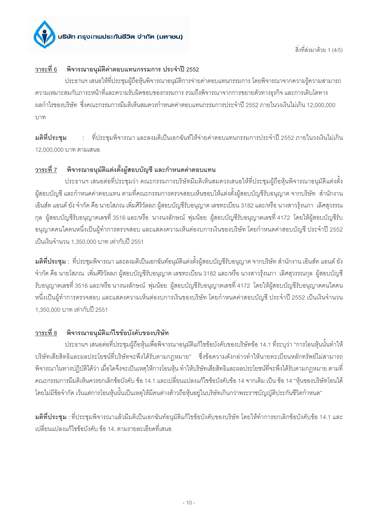

#### พิจารณาอนุมัติค่าตอบแทนกรรมการ ประจำปี 2552 วาระที่ 6

ประธานฯ เสนอให้ที่ประชุมผู้ถือหุ้นพิจารณาอนุมัติการจ่ายค่าตอบแทนกรรมการ โดยพิจารณาจากความรู้ความสามารถ ้ ความเหมาะสมกับภาระหน้าที่และความรับผิดชอบของกรรมการ รวมถึงพิจารณาจากการขยายตัวทางธรกิจ และการเติบโตทาง ้ผลกำไรของบริษัท ซึ่งคณะกรรมการมีมติเห็นสมควรกำหนดค่าตอบแทนกรรมการประจำปี 2552 ภายในวงเงินไม่เกิน 12,000,000 1171

มติที่ประชุม : ที่ประชุมพิจารณา และลงมติเป็นเอกฉันท์ให้จ่ายค่าตอบแทนกรรมการประจำปี 2552 ภายในวงเงินไม่เกิน 12,000,000 บาท ตามเสนค

#### ้พิจารณาอนุมัติแต่งตั้งผู้สอบบัญชี และกำหนดค่าตอบแทน วาระที่ 7

ี ประธานฯ เสนอต่อที่ประชมว่า คณะกรรมการบริษัทมีมติเห็นสมควรเสนอให้ที่ประชมผู้ถือห้นพิจารณาอนมัติแต่งตั้ง ผู้สอบบัญชี และกำหนดค่าตอบแทน ตามที่คณะกรรมการตรวจสอบเห็นชอบให้แต่งตั้งผู้สอบบัญชีรับอนุญาต จากบริษัท สำนักงาน ้เอินส์ท แอนด์ ยัง จำกัด คือ นายโสภณ เพิ่มศิริวัลลภ ผู้สอบบัญชีรับอนุญาต เลขทะเบียน 3182 และ/หรือ นางสาวรุ้งนภา เลิศสุวรรณ ึกุล ผู้สอบบัญชีรับอนุญาตเลขที่ 3516 และ/หรือ นางนงลักษณ์ พุ่มน้อย ผู้สอบบัญชีรับอนุญาตเลขที่ 4172 โดยให้ผู้สอบบัญชีรับ ้อนุญาตคนใดคนหนึ่งเป็นผู้ทำการตรวจสอบ และแสดงความเห็นต่องบการเงินของบริษัท โดยกำหนดค่าสอบบัญชี ประจำปี 2552 เป็นเงินจำนวน 1,350,000 บาท เท่ากับปี 2551

**มติที่ประชุม** : ที่ประชุมพิจารณา และลงมติเป็นเอกฉันท์อนุมัติแต่งตั้งผู้สอบบัญชีรับอนุญาต จากบริษัท สำนักงาน เอินส์ท แอนด์ ยัง ้จำกัด คือ นายโสภณ เพิ่มศิริวัลลภ ผู้สอบบัญชีรับอนุญาต เลขทะเบียน 3182 และ/หรือ นางสาวรุ้งนภา เลิศสุวรรณกุล ผู้สอบบัญชี ้รับอนุญาตเลขที่ 3516 และ/หรือ นางนงลักษณ์ พุ่มน้อย ผู้สอบบัญชีรับอนุญาตเลขที่ 4172 โดยให้ผู้สอบบัญชีรับอนุญาตคนใดคน หนึ่งเป็นผู้ทำการตรวจสอบ และแสดงความเห็นต่องบการเงินของบริษัท โดยกำหนดค่าสอบบัญชี ประจำปี 2552 เป็นเงินจำนวน 1,350,000 บาท เท่ากับปี 2551

#### พิจารณาอนุมัติแก้ไขข้อบังคับของบริษัท วาระที่ 8

ี ประธานฯ เสนอต่อที่ประชุมผู้ถือหุ้นเพื่อพิจารณาอนุมัติแก้ไขข้อบังคับของบริษัทข้อ 14.1 ที่ระบุว่า "การโอนหุ้นนั้นทำให้ ้บริษัทเสียสิทธิและผลประโยชน์ที่บริษัทจะพึ่งได้รับตามกฎหมาย" ซึ่งข้อความดังกล่าวทำให้นายทะเบียนหลักทรัพย์ไม่สามารถ ้พิจารณาในทางปฏิบัติได้ว่า เมื่อใดจึงจะเป็นเหตุให้การโอนหุ้น ทำให้บริษัทเสียสิทธิและผลประโยชน์ที่จะพึงได้รับตามกฎหมาย ตามที่ ิคณะกรรมการมีมติเห็นควรยกเลิกข้อบังคับ ข้อ 14.1 และเปลี่ยนแปลงแก้ไขข้อบังคับข้อ 14 จากเดิม เป็น ข้อ 14 "หุ้นของบริษัทโอนได้ โดยไม่มีข้อจำกัด เว้นแต่การโอนหุ้นนั้นเป็นเหตุให้มีคนต่างด้าวถือหุ้นอยู่ในบริษัทเกินกว่าพระราชบัญญัติประกันชีวิตกำหนด"

**มติที่ประชุม** : ที่ประชุมพิจารณาแล้วมีมติเป็นเอกฉันท์อนุมัติแก้ไขข้อบังคับของบริษัท โดยให้ทำการยกเลิกข้อบังคับข้อ 14.1 และ เปลี่ยนแปลงแก้ไขข้อบังคับ ข้อ 14 ตามรายละเอียดที่เสนอ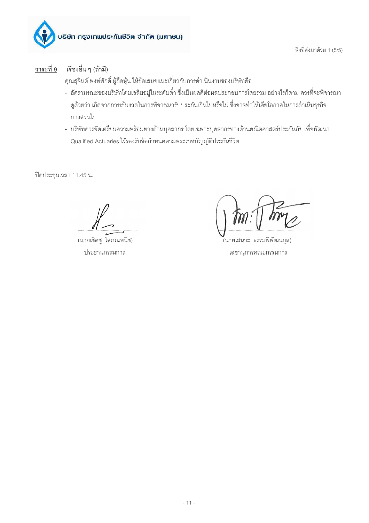

สิ่งที่ส่งมาด้วย 1 (5/5)

#### วาระที่ 9 เรื่องอื่น ๆ (ถ้ามี)

คุณสุจินต์ พงษ์ศักดิ์ ผู้ถือหุ้น ให้ข้อเสนอแนะเกี่ยวกับการดำเนินงานของบริษัทคือ

- อัตรามรณะของบริษัทโดยเฉลี่ยอยู่ในระดับต่ำ ซึ่งเป็นผลดีต่อผลประกอบการโดยรวม อย่างไรก็ตาม ควรที่จะพิจารณา ดูด้วยว่า เกิดจากการเข้มงวดในการพิจารณารับประกันเกินไปหรือไม่ ซึ่งอาจทำให้เสียโอกาสในการดำเนินธุรกิจ บางส่วนไป
- บริษัทควรจัดเตรียมความพร้อมทางด้านบุคลากร โดยเฉพาะบุคลากรทางด้านคณิตศาสตร์ประกันภัย เพื่อพัฒนา Qualified Actuaries ไว้รองรับข้อกำหนดตามพระราชบัญญัติประกันชีวิต

<u>ปิดประชุมเวลา 11.45 น.</u>

(นายเชิดชู โสภณพนิช) ประธานกรรมการ

้(นายเสนาะ ธรรมพิพัฒนกุล) เลขานุการคณะกรรมการ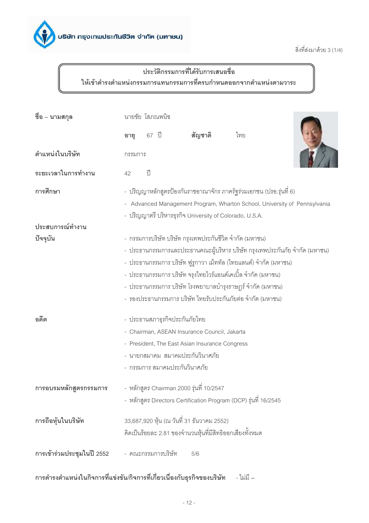

สิ่งที่ส่งมาด้วย 3 (1/4)

# ประวัติกรรมการที่ได้รับการเสนอชื่อ ให้เข้าดำรงตำแหน่งกรรมการแทนกรรมการที่ครบกำหนดออกจากตำแหน่งตามวาระ

| ชื่อ – นามสกุล             | นายชัย โสภณพนิช          |       |                               |                                                |                                                                    |                                                                            |
|----------------------------|--------------------------|-------|-------------------------------|------------------------------------------------|--------------------------------------------------------------------|----------------------------------------------------------------------------|
|                            | อายุ                     | 67 ปี |                               | สัญชาติ                                        | ไทย                                                                |                                                                            |
| ตำแหน่งในบริษัท            | กรรมการ                  |       |                               |                                                |                                                                    |                                                                            |
| ระยะเวลาในการทำงาน         | 42                       | ปี    |                               |                                                |                                                                    |                                                                            |
| การศึกษา                   |                          |       |                               |                                                | - ปริญญาหลักสูตรป้องกันราชอาณาจักร ภาครัฐร่วมเอกชน (ปรอ.รุ่นที่ 6) |                                                                            |
|                            | $\overline{\phantom{0}}$ |       |                               |                                                |                                                                    | Advanced Management Program, Wharton School, University of Pennsylvania    |
|                            |                          |       |                               |                                                | - ปริญญาตรี บริหารธุรกิจ University of Colorado, U.S.A.            |                                                                            |
| ประสบการณ์ทำงาน            |                          |       |                               |                                                |                                                                    |                                                                            |
| ปัจจุบัน                   |                          |       |                               |                                                | - กรรมการบริษัท บริษัท กรุงเทพประกันชีวิต จำกัด (มหาชน)            |                                                                            |
|                            |                          |       |                               |                                                |                                                                    | - ประธานกรรมการและประธานคณะผู้บริหาร บริษัท กรุงเทพประกันภัย จำกัด (มหาชน) |
|                            |                          |       |                               |                                                | -  ประธานกรรมการ บริษัท ฟูรูกาวา เม็ททัล (ไทยแลนด์) จำกัด (มหาชน)  |                                                                            |
|                            |                          |       |                               |                                                | -  ประธานกรรมการ บริษัท จรุงไทยไวร์แอนด์เคเบิ้ล จำกัด (มหาชน)      |                                                                            |
|                            |                          |       |                               |                                                | - ประธานกรรมการ บริษัท โรงพยาบาลบำรุงราษฎร์ จำกัด (มหาชน)          |                                                                            |
|                            |                          |       |                               |                                                | - รองประธานกรรมการ บริษัท ไทยรับประกันภัยต่อ จำกัด (มหาชน)         |                                                                            |
| อดีต                       |                          |       | - ประธานสภาธุรกิจประกันภัยไทย |                                                |                                                                    |                                                                            |
|                            |                          |       |                               | - Chairman, ASEAN Insurance Council, Jakarta   |                                                                    |                                                                            |
|                            |                          |       |                               | - President, The East Asian Insurance Congress |                                                                    |                                                                            |
|                            |                          |       |                               | - นายกสมาคม สมาคมประกันวินาศภัย                |                                                                    |                                                                            |
|                            |                          |       | - กรรมการ สมาคมประกันวินาศภัย |                                                |                                                                    |                                                                            |
| การอบรมหลักสูตรกรรมการ     |                          |       |                               | - หลักสูตร Chairman 2000 รุ่นที่ 10/2547       |                                                                    |                                                                            |
|                            |                          |       |                               |                                                | - หลักสูตร Directors Certification Program (DCP) รุ่นที่ 16/2545   |                                                                            |
| การถือหุ้นในบริษัท         |                          |       |                               | 33,687,920 หุ้น (ณ วันที่ 31 ธันวาคม 2552)     |                                                                    |                                                                            |
|                            |                          |       |                               |                                                | คิดเป็นร้อยละ 2.81 ของจำนวนหุ้นที่มีสิทธิออกเสียงทั้งหมด           |                                                                            |
| การเข้าร่วมประชุมในปี 2552 |                          |       | - คณะกรรมการบริษัท            | 5/6                                            |                                                                    |                                                                            |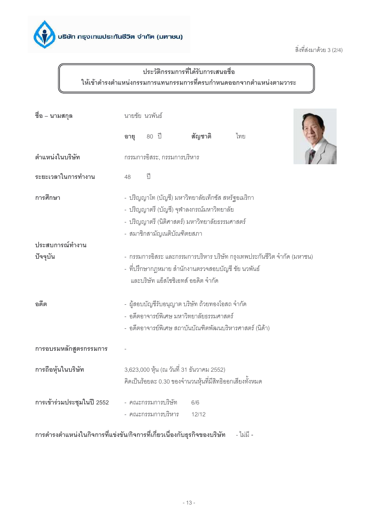

สิ่งที่ส่งมาด้วย 3 (2/4)

# ประวัติกรรมการที่ได้รับการเสนอชื่อ ให้เข้าดำรงตำแหน่งกรรมการแทนกรรมการที่ครบกำหนดออกจากตำแหน่งตามวาระ

| ชื่อ – นามสกุล              | นายชัย นวพันธ์ |           |                                          |                                                                                                                                                   |                                                                                                                               |  |  |  |
|-----------------------------|----------------|-----------|------------------------------------------|---------------------------------------------------------------------------------------------------------------------------------------------------|-------------------------------------------------------------------------------------------------------------------------------|--|--|--|
|                             | อายุ           |           | 80 ปี                                    | สัญชาติ                                                                                                                                           | ไทย                                                                                                                           |  |  |  |
| ตำแหน่งในบริษัท             |                |           | กรรมการอิสระ, กรรมการบริหาร              |                                                                                                                                                   |                                                                                                                               |  |  |  |
| ระยะเวลาในการทำงาน          | 48             | $\hat{1}$ |                                          |                                                                                                                                                   |                                                                                                                               |  |  |  |
| การศึกษา                    |                |           | - สมาชิกสามัญเนติบัณฑิตยสภา              | - ปริญญาโท (บัญชี) มหาวิทยาลัยเท็กซัส สหรัฐอเมริกา<br>- ปริญญาตรี (บัญชี) จุฬาลงกรณ์มหาวิทยาลัย<br>- ปริญญาตรี (นิติศาสตร์) มหาวิทยาลัยธรรมศาสตร์ |                                                                                                                               |  |  |  |
| ประสบการณ์ทำงาน<br>ปัจจุบัน |                |           |                                          | และบริษัท แอ็สโซซิเอทส์ ออดิต จำกัด                                                                                                               | - กรรมการอิสระ และกรรมการบริหาร บริษัท กรุงเทพประกันชีวิต จำกัด (มหาชน)<br>- ที่ปรึกษากฎหมาย สำนักงานตรวจสอบบัญชี ชัย นวพันธ์ |  |  |  |
| อดีต                        |                |           |                                          | - ผู้สอบบัญชีรับอนุญาต บริษัท ถ้วยทองโอสถ จำกัด<br>- อดีตอาจารย์พิเศษ มหาวิทยาลัยธรรมศาสตร์                                                       | - อดีตอาจารย์พิเศษ สถาบันบัณฑิตพัฒนบริหารศาสตร์ (นิด้า)                                                                       |  |  |  |
| การอบรมหลักสูตรกรรมการ      |                |           |                                          |                                                                                                                                                   |                                                                                                                               |  |  |  |
| การถือหุ้นในบริษัท          |                |           |                                          | 3,623,000 หุ้น (ณ วันที่ 31 ธันวาคม 2552)                                                                                                         | คิดเป็นร้อยละ 0.30 ของจำนวนหุ้นที่มีสิทธิออกเสียงทั้งหมด                                                                      |  |  |  |
| การเข้าร่วมประชุมในปี 2552  |                |           | - คณะกรรมการบริษัท<br>- คณะกรรมการบริหาร | 6/6<br>12/12                                                                                                                                      |                                                                                                                               |  |  |  |

การดำรงตำแหน่งในกิจการที่แข่งขัน/กิจการที่เกี่ยวเนื่องกับธุรกิจของบริษัท - ไม่มี -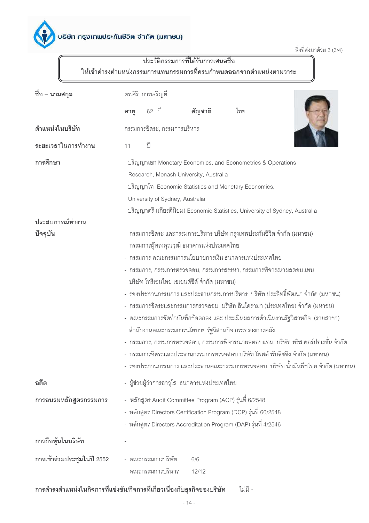สิ่งที่ส่งมาด้วย 3 (3/4)

# <u>้<br>ประวัติกรรมการที่ได้รับการเสนอชื่อ</u> ให้เข้าดำรงตำแหน่งกรรมการแทนกรรมการที่ครบกำหนดออกจากตำแหน่งตามวาระ

| ชื่อ – นามสกุล             | ดร.ศิริ การเจริญดี                                                                                                                                                                                                                                                                                                                                                                                                                                                                                                                                                                                                                                                                                                                                                                                                                                             |
|----------------------------|----------------------------------------------------------------------------------------------------------------------------------------------------------------------------------------------------------------------------------------------------------------------------------------------------------------------------------------------------------------------------------------------------------------------------------------------------------------------------------------------------------------------------------------------------------------------------------------------------------------------------------------------------------------------------------------------------------------------------------------------------------------------------------------------------------------------------------------------------------------|
|                            | สัญชาติ<br>62 ปี<br>ไทย<br>อายุ                                                                                                                                                                                                                                                                                                                                                                                                                                                                                                                                                                                                                                                                                                                                                                                                                                |
| ตำแหน่งในบริษัท            | กรรมการอิสระ, กรรมการบริหาร                                                                                                                                                                                                                                                                                                                                                                                                                                                                                                                                                                                                                                                                                                                                                                                                                                    |
| ระยะเวลาในการทำงาน         | ปี<br>11                                                                                                                                                                                                                                                                                                                                                                                                                                                                                                                                                                                                                                                                                                                                                                                                                                                       |
| การศึกษา                   | - ปริญญาเอก Monetary Economics, and Econometrics & Operations<br>Research, Monash University, Australia<br>- ปริญญาโท Economic Statistics and Monetary Economics,<br>University of Sydney, Australia<br>- ปริญญาตรี (เกียรตินิยม) Economic Statistics, University of Sydney, Australia                                                                                                                                                                                                                                                                                                                                                                                                                                                                                                                                                                         |
| ประสบการณ์ทำงาน            |                                                                                                                                                                                                                                                                                                                                                                                                                                                                                                                                                                                                                                                                                                                                                                                                                                                                |
| ปัจจุบัน                   | - กรรมการอิสระ และกรรมการบริหาร บริษัท กรุงเทพประกันชีวิต จำกัด (มหาชน)<br>- กรรมการผู้ทรงคุณวุฒิ ธนาคารแห่งประเทศไทย<br>- กรรมการ คณะกรรมการนโยบายการเงิน ธนาคารแห่งประเทศไทย<br>- กรรมการ, กรรมการตรวจสอบ, กรรมการสรรหา, กรรมการพิจารณาผลตอบแทน<br>บริษัท โทรีเซนไทย เอเยนต์ซีส์ จำกัด (มหาชน)<br>- รองประธานกรรมการ และประธานกรรมการบริหาร  บริษัท ประสิทธิ์พัฒนา จำกัด (มหาชน)<br>- กรรมการอิสระและกรรมการตรวจสอบ บริษัท อินโดรามา (ประเทศไทย) จำกัด (มหาชน)<br>- คณะกรรมการจัดทำบันทึกข้อตกลง และ ประเมินผลการดำเนินงานรัฐวิสาหกิจ (รายสาขา)<br>สำนักงานคณะกรรมการนโยบาย รัฐวิสาหกิจ กระทรวงการคลัง<br>- กรรมการ, กรรมการตรวจสอบ, กรรมการพิจารณาผลตอบแทน บริษัท ทริส คอร์ปอเรชั่น จำกัด<br>- กรรมการอิสระและประธานกรรมการตรวจสอบ บริษัท โพสต์ พับลิชชิง จำกัด (มหาชน)<br>- รองประธานกรรมการ และประธานคณะกรรมการตรวจสอบ  บริษัท น้ำมันพืชไทย จำกัด (มหาชน) |
| อดีต                       | - ผู้ช่วยผู้ว่าการอาวุโส ธนาคารแห่งประเทศไทย                                                                                                                                                                                                                                                                                                                                                                                                                                                                                                                                                                                                                                                                                                                                                                                                                   |
| การอบรมหลักสูตรกรรมการ     | - หลักสูตร Audit Committee Program (ACP) รุ่นที่ 6/2548<br>- หลักสูตร Directors Certification Program (DCP) รุ่นที่ 60/2548<br>- หลักสูตร Directors Accreditation Program (DAP) รุ่นที่ 4/2546                                                                                                                                                                                                                                                                                                                                                                                                                                                                                                                                                                                                                                                                 |
| การถือหุ้นในบริษัท         |                                                                                                                                                                                                                                                                                                                                                                                                                                                                                                                                                                                                                                                                                                                                                                                                                                                                |
| การเข้าร่วมประชุมในปี 2552 | - คณะกรรมการบริษัท<br>6/6<br>- คณะกรรมการบริหาร<br>12/12                                                                                                                                                                                                                                                                                                                                                                                                                                                                                                                                                                                                                                                                                                                                                                                                       |

# การดำรงตำแหน่งในกิจการที่แข่งขัน/กิจการที่เกี่ยวเนื่องกับธุรกิจของบริษัท - ไม่มี -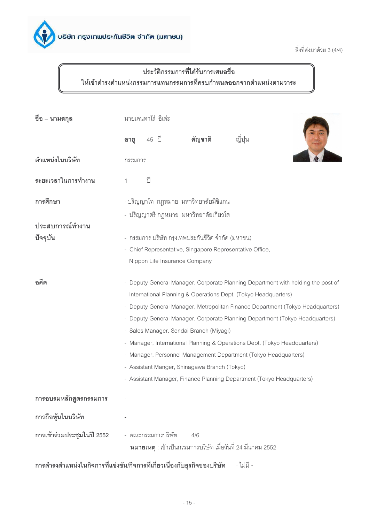

สิ่งที่ส่งมาด้วย 3 (4/4)

# ประวัติกรรมการที่ได้รับการเสนอชื่อ ให้เข้าดำรงตำแหน่งกรรมการแทนกรรมการที่ครบกำหนดออกจากตำแหน่งตามวาระ

| ชื่อ – นามสกุล             | นายเคนทาโร่ อิเด่ะ                                                             |       |                               |                                                             |                                                                                  |  |  |
|----------------------------|--------------------------------------------------------------------------------|-------|-------------------------------|-------------------------------------------------------------|----------------------------------------------------------------------------------|--|--|
|                            | อายุ                                                                           | 45 ปี |                               | สัญชาติ                                                     | ญี่ปุ่น                                                                          |  |  |
| ตำแหน่งในบริษัท            | กรรมการ                                                                        |       |                               |                                                             |                                                                                  |  |  |
| ระยะเวลาในการทำงาน         | $\mathbf{1}$                                                                   | ปี    |                               |                                                             |                                                                                  |  |  |
| การศึกษา                   |                                                                                |       |                               | - ปริญญาโท  กฎหมาย  มหาวิทยาลัยมิชิแกน                      |                                                                                  |  |  |
|                            |                                                                                |       |                               | - ปริญญาตรี กฎหมาย มหาวิทยาลัยเกี่ยวโต                      |                                                                                  |  |  |
| ประสบการณ์ทำงาน            |                                                                                |       |                               |                                                             |                                                                                  |  |  |
| ปัจจุบัน                   |                                                                                |       |                               | - กรรมการ บริษัท กรุงเทพประกันชีวิต จำกัด (มหาชน)           |                                                                                  |  |  |
|                            |                                                                                |       |                               | - Chief Representative, Singapore Representative Office,    |                                                                                  |  |  |
|                            |                                                                                |       | Nippon Life Insurance Company |                                                             |                                                                                  |  |  |
| อดีต                       |                                                                                |       |                               |                                                             | - Deputy General Manager, Corporate Planning Department with holding the post of |  |  |
|                            |                                                                                |       |                               |                                                             | International Planning & Operations Dept. (Tokyo Headquarters)                   |  |  |
|                            | - Deputy General Manager, Metropolitan Finance Department (Tokyo Headquarters) |       |                               |                                                             |                                                                                  |  |  |
|                            |                                                                                |       |                               |                                                             | - Deputy General Manager, Corporate Planning Department (Tokyo Headquarters)     |  |  |
|                            |                                                                                |       |                               | - Sales Manager, Sendai Branch (Miyagi)                     |                                                                                  |  |  |
|                            |                                                                                |       |                               |                                                             | - Manager, International Planning & Operations Dept. (Tokyo Headquarters)        |  |  |
|                            |                                                                                |       |                               |                                                             | - Manager, Personnel Management Department (Tokyo Headquarters)                  |  |  |
|                            |                                                                                |       |                               | - Assistant Manger, Shinagawa Branch (Tokyo)                |                                                                                  |  |  |
|                            |                                                                                |       |                               |                                                             | - Assistant Manager, Finance Planning Department (Tokyo Headquarters)            |  |  |
| การอบรมหลักสูตรกรรมการ     |                                                                                |       |                               |                                                             |                                                                                  |  |  |
| การถือหุ้นในบริษัท         |                                                                                |       |                               |                                                             |                                                                                  |  |  |
| การเข้าร่วมประชุมในปี 2552 |                                                                                |       | - คณะกรรมการบริษัท            | 4/6                                                         |                                                                                  |  |  |
|                            |                                                                                |       |                               | หมายเหตุ : เข้าเป็นกรรมการบริษัท เมื่อวันที่ 24 มีนาคม 2552 |                                                                                  |  |  |

การดำรงตำแหน่งในกิจการที่แข่งขัน/กิจการที่เกี่ยวเนื่องกับธุรกิจของบริษัท - ไม่มี -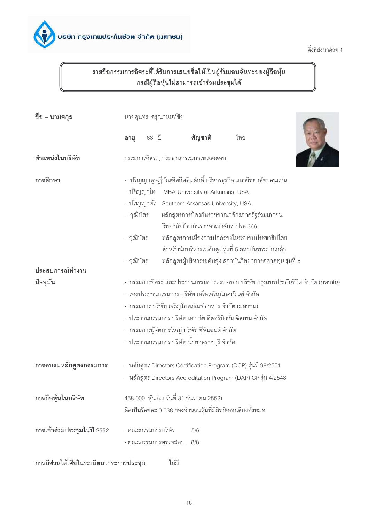

สิ่งที่ส่งมาด้วย 4

# รายชื่อกรรมการอิสระที่ได้รับการเสนอชื่อให้เป็นผู้รับมอบฉันทะของผู้ถือหุ้น<br>กรณีผู้ถือหุ้นไม่สามารถเข้าร่วมประชุมได้

| ชือ – นามสกุล                          | นายสุนทร อรุณานนท์ชัย                                                           |       |                     |                                               |                                                                   |  |  |
|----------------------------------------|---------------------------------------------------------------------------------|-------|---------------------|-----------------------------------------------|-------------------------------------------------------------------|--|--|
|                                        | อายุ                                                                            | 68 ปี |                     | สัญชาติ                                       | ไทย                                                               |  |  |
| ตำแหน่งในบริษัท                        |                                                                                 |       |                     | กรรมการอิสระ, ประธานกรรมการตรวจสอบ            |                                                                   |  |  |
| การศึกษา                               |                                                                                 |       |                     |                                               | -   ปริญญาดุษฎีบัณฑิตกิตติมศักดิ์ บริหารธุรกิจ มหาวิทยาลัยขอนแก่น |  |  |
|                                        |                                                                                 |       |                     | - ปริญญาโท MBA-University of Arkansas, USA    |                                                                   |  |  |
|                                        |                                                                                 |       |                     | - ปริญญาตรี Southern Arkansas University, USA |                                                                   |  |  |
|                                        | - วุฒิบัตร                                                                      |       |                     |                                               | หลักสูตรการป้องกันราชอาณาจักรภาครัฐร่วมเอกชน                      |  |  |
|                                        |                                                                                 |       |                     |                                               | วิทยาลัยป้องกันราชอาณาจักร, ปรอ 366                               |  |  |
|                                        | - วุฒิบัตร                                                                      |       |                     |                                               | หลักสูตรการเมืองการปกครองในระบอบประชาธิปไตย                       |  |  |
|                                        |                                                                                 |       |                     |                                               | ลำหรับนักบริหารระดับสูง รุ่นที่ 5 สถาบันพระปกเกล้า                |  |  |
|                                        | - วุฒิบัตร                                                                      |       |                     |                                               | หลักสูตรผู้บริหารระดับสูง สถาบันวิทยาการตลาดทุน รุ่นที่ 6         |  |  |
| ประสบการณ์ทำงาน                        |                                                                                 |       |                     |                                               |                                                                   |  |  |
| ปัจจุบัน                               | -  กรรมการอิสระ และประธานกรรมการตรวจสอบ บริษัท กรุงเทพประกันชีวิต จำกัด (มหาชน) |       |                     |                                               |                                                                   |  |  |
|                                        | -  รองประธานกรรมการ บริษัท เครือเจริญโภคภัณฑ์ จำกัด                             |       |                     |                                               |                                                                   |  |  |
|                                        |                                                                                 |       |                     |                                               | - กรรมการ บริษัท เจริญโภคภัณฑ์อาหาร จำกัด (มหาชน)                 |  |  |
|                                        | -  ประธานกรรมการ บริษัท เอก-ชัย ดีสทริบิวชั่น ซิสเทม จำกัด                      |       |                     |                                               |                                                                   |  |  |
|                                        | - กรรมการผู้จัดการใหญ่ บริษัท ซีพีแลนด์ จำกัด                                   |       |                     |                                               |                                                                   |  |  |
|                                        |                                                                                 |       |                     | -  ประธานกรรมการ บริษัท น้ำตาลราชบุรี จำกัด   |                                                                   |  |  |
| การอบรมหลักสูตรกรรมการ                 |                                                                                 |       |                     |                                               | - หลักสูตร Directors Certification Program (DCP) รุ่นที่ 98/2551  |  |  |
|                                        |                                                                                 |       |                     |                                               | - หลักสูตร Directors Accreditation Program (DAP) CP รุ่น 4/2548   |  |  |
| การถือหุ้นในบริษัท                     |                                                                                 |       |                     | 458,000 หุ้น (ณ วันที่ 31 ธันวาคม 2552)       |                                                                   |  |  |
|                                        |                                                                                 |       |                     |                                               | คิดเป็นร้อยละ 0.038 ของจำนวนหุ้นที่มีสิทธิออกเสียงทั้งหมด         |  |  |
| การเข้าร่วมประชุมในปี 2552             |                                                                                 |       | - คณะกรรมการบริษัท  | 5/6                                           |                                                                   |  |  |
|                                        |                                                                                 |       | - คณะกรรมการตรวจสอบ | 8/8                                           |                                                                   |  |  |
| การมีส่วนได้เสียในระเบียบวาระการประชุม |                                                                                 |       | ไม่มี               |                                               |                                                                   |  |  |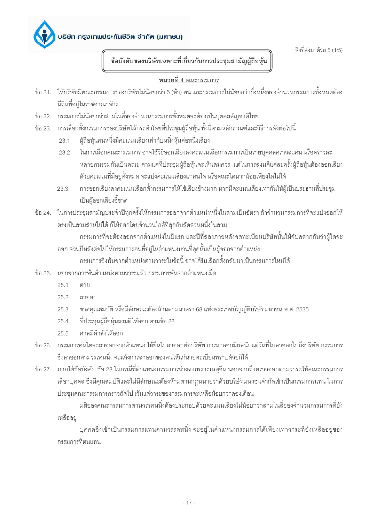

สิ่งที่ส่งมาด้วย 5 (1/5)

ข้อบังคับของบริษัทเฉพาะที่เกี่ยวกับการประชุมสามัญผู้ถือหุ้น

### หมวดที่ 4 คณะกรรมการ

- ข้อ 21. ให้บริษัทมีคณะกรรมการของบริษัทไม่น้อยกว่า 5 (ห้า) คน และกรรมการไม่น้อยกว่ากึ่งหนึ่งของจำนวนกรรมการทั้งหมดต้อง มีถิ่นที่อยู่ในราชอาณาจักร
- ์ ข้อ 22. กรรมการไม่น้อยกว่าสามในสี่ของจำนวนกรรมการทั้งหมดจะต้องเป็นบุคคลสัญชาติไทย
- ข้อ 23. การเลือกตั้งกรรมการของบริษัทให้กระทำโดยที่ประชุมผู้ถือหุ้น ทั้งนี้ตามหลักเกณฑ์และวิธีการดังต่อไปนี้
	- ผ้ถือห้นคนหนึ่งมีคะแนนเสียงเท่ากับหนึ่งห้นต่อหนึ่งเสียง  $23.1$
	- ในการเลือกคณะกรรมการ อาจใช้วิธีออกเสียงลงคะแนนเลือกกรรมการเป็นรายบุคคลคราวละคน หรือคราวละ  $232$ หลายคนรวมกันเป็นคณะ ตามแต่ที่ประชุมผู้ถือหุ้นจะเห็นสมควร แต่ในการลงมติแต่ละครั้งผู้ถือหุ้นต้องออกเสียง ้ด้วยคะแนนที่มีอยู่ทั้งหมด จะแบ่งคะแนนเสียงแก่คนใด หรือคณะใดมากน้อยเพียงใดไม่ได้
	- การออกเสียงลงคะแนนเลือกตั้งกรรมการให้ใช้เสียงข้างมาก หากมีคะแนนเสียงเท่ากันให้ผู้เป็นประธานที่ประชุม 23.3 เป็นผู้ออกเสียงชี้ขาด
- ์ ข้อ 24. ในการประชุมสามัญประจำปีทุกครั้งให้กรรมการออกจากตำแหน่งหนึ่งในสามเป็นอัตรา ถ้าจำนวนกรรมการที่จะแบ่งออกให้ ้ตรงเป็นสามส่วนไม่ได้ ก็ให้ออกโดยจำนวนใกล้ที่สุดกับสัดส่วนหนึ่งในสาม

้กรรมการที่จะต้องออกจากตำแหน่งในปีแรก และปีที่สองภายหลังจดทะเบียนบริษัทนั้นให้จับสลากกันว่าผู้ใดจะ ้ออก ส่วนปีหลังต่อไปให้กรรมการคนที่อยู่ในตำแหน่งนานที่สุดนั้นเป็นผู้ออกจากตำแหน่ง

กรรมการซึ่งพ้นจากตำแหน่งตามวาระในข้อนี้ อาจได้รับเลือกตั้งกลับมาเป็นกรรมการใหม่ได้

- ์ขั้ค 25 นคกจากการพ้นตำแหน่งตามวาระแล้ว กรรมการพ้นจากตำแหน่งเมื่อ
	- $251$ ตาย
	- $252$ ลาคคก
	- ขาดคุณสมบัติ หรือมีลักษณะต้องห้ามตามมาตรา 68 แห่งพระราชบัญญัติบริษัทมหาชน พ.ศ. 2535  $25.3$
	- ที่ประชุมผู้ถือหุ้นลงมติให้ออก ตามข้อ 28  $25.4$
	- ศาลมีคำสั่งให้คุคก  $255$
- ้ข้อ 26. กรรมการคนใดจะลาออกจากตำแหน่ง ให้ยื่นใบลาออกต่อบริษัท การลาออกมีผลนับแต่วันที่ใบลาออกไปถึงบริษัท กรรมการ ซึ่งลาออกตามวรรคหนึ่ง จะแจ้งการลาออกของตนให้แก่นายทะเบียนทราบด้วยก็ได้
- ข้อ 27. ภายใต้ข้อบังคับ ข้อ 28 ในกรณีที่ตำแหน่งกรรมการว่างลงเพราะเหตุอื่น นอกจากถึงคราวออกตามวาระให้คณะกรรมการ เลือกบุคคล ซึ่งมีคุณสมบัติและไม่มีลักษณะต้องห้ามตามกฎหมายว่าด้วยบริษัทมหาชนจำกัดเข้าเป็นกรรมการแทน ในการ ประชุมคณะกรรมการคราวถัดไป เว้นแต่วาระของกรรมการจะเหลือน้อยกว่าสองเดือน

มติของคณะกรรมการตามวรรคหนึ่งต้องประกอบด้วยคะแนนเสียงไม่น้อยกว่าสามในสี่ของจำนวนกรรมการที่ยัง เหลืออยู่

บุคคลซึ่งเข้าเป็นกรรมการแทนตามวรรคหนึ่ง จะอยู่ในตำแหน่งกรรมการได้เพียงเท่าวาระที่ยังเหลืออยู่ของ ้<br>กรรมการที่ตบแทบ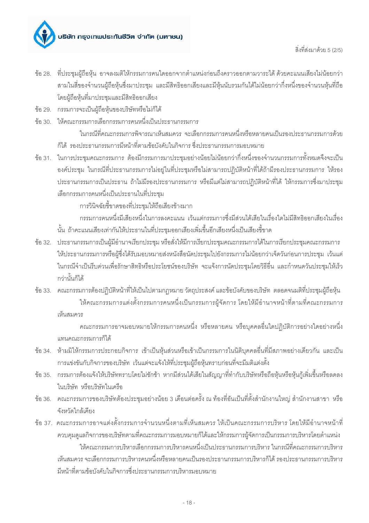

- ข้อ 28. ที่ประชุมผู้ถือหุ้น อาจลงมติให้กรรมการคนใดออกจากตำแหน่งก่อนถึงคราวออกตามวาระได้ ด้วยคะแนนเสียงไม่น้อยกว่า สามในสี่ของจำนวนผู้ถือหุ้นซึ่งมาประชุม และมีสิทธิออกเสียงและมีหุ้นนับรวมกันได้ไม่น้อยกว่ากึ่งหนึ่งของจำนวนหุ้นที่ถือ โดยผู้ถือหุ้นที่มาประชุมและมีสิทธิออกเสียง
- ข้อ 29. กรรมการจะเป็นผู้ถือหุ้นของบริษัทหรือไม่ก็ได้
- ข้อ 30. ให้คณะกรรมการเลือกกรรมการคนหนึ่งเป็นประธานกรรมการ ในกรณีที่คณะกรรมการพิจารณาเห็นสมควร จะเลือกกรรมการคนหนึ่งหรือหลายคนเป็นรองประธานกรรมการด้วย ก็ได้ รองประธานกรรมการมีหน้าที่ตามข้อบังคับในกิจการ ซึ่งประธานกรรมการมอบหมาย
- ข้อ 31. ในการประชุมคณะกรรมการ ต้องมีกรรมการมาประชุมอย่างน้อยไม่น้อยกว่ากึ่งหนึ่งของจำนวนกรรมการทั้งหมดจึงจะเป็น ้องค์ประชุม ในกรณีที่ประธานกรรมการไม่อยู่ในที่ประชุมหรือไม่สามารถปฏิบัติหน้าที่ได้ถ้ามีรองประธานกรรมการ ให้รอง ประธานกรรมการเป็นประธาน ถ้าไม่มีรองประธานกรรมการ หรือมีแต่ไม่สามารถปฏิบัติหน้าที่ได้ ให้กรรมการซึ่งมาประชุม เลือกกรรมการคนหนึ่งเป็นประธานในที่ประชม

การวินิจฉัยชี้ขาดของที่ประชุมให้ถือเสียงข้างมาก

้กรรมการคนหนึ่งมีเสียงหนึ่งในการลงคะแนน เว้นแต่กรรมการซึ่งมีส่วนได้เสียในเรื่องใดไม่มีสิทธิออกเสียงในเรื่อง นั้น ถ้าคะแนนเสียงเท่ากันให้ประธานในที่ประชมออกเสียงเพิ่มขึ้นอีกเสียงหนึ่งเป็นเสียงขึ้ขาด

- ข้อ 32. ประธานกรรมการเป็นผู้มีอำนาจเรียกประชุม หรือส่่งให้มีการเรียกประชุมคณะกรรมการได้ในการเรียกประชุมคณะกรรมการ ให้ประธานกรรมการหรือผู้ซึ่งได้รับมอบหมายส่งหนังสือนัดประชุมไปยังกรรมการไม่น้อยกว่าเจ็ดวันก่อนการประชุม เว้นแต่ ในกรณีจำเป็นรีบด่วนเพื่อรักษาสิทธิหรือประโยชน์ของบริษัท จะแจ้งการนัดประชุมโดยวิธีอื่น และกำหนดวันประชุมให้เร็ว กว่านั้นก็ได้
- ข้อ 33. คณะกรรมการต้องปฏิบัติหน้าที่ให้เป็นไปตามกฎหมาย วัตถุประสงค์ และข้อบังคับของบริษัท ตลอดจนมติที่ประชุมผู้ถือหุ้น ให้คณะกรรมการแต่งตั้งกรรมการคนหนึ่งเป็นกรรมการผู้จัดการ โดยให้มีอำนาจหน้าที่ตามที่คณะกรรมการ เห็นสมควร

ิ คณะกรรมการอาจมอบหมายให้กรรมการคนหนึ่ง หรือหลายคน หรือบุคคลอื่นใดปฏิบัติการอย่างใดอย่างหนึ่ง แทนคณะกรรมการก็ได้

- ข้อ 34. ห้ามมิให้กรรมการประกอบกิจการ เข้าเป็นหุ้นส่วนหรือเข้าเป็นกรรมการในนิติบุคคลอื่นที่มีสภาพอย่างเดียวกัน และเป็น การแข่งขันกับกิจการของบริษัท เว้นแต่จะแจ้งให้ที่ประชุมผู้ถือหุ้นทราบก่อนที่จะมีมติแต่งตั้ง
- ข้อ 35. กรรมการต้องแจ้งให้บริษัททราบโดยไม่ชักช้า หากมีส่วนได้เสียในสัญญาที่ทำกับบริษัทหรือถือหุ้นหรือหุ้นกู้เพิ่มขึ้นหรือลดลง ในบริษัท หรือบริษัทในเครือ
- ข้อ 36. คณะกรรมการของบริษัทต้องประชุมอย่างน้อย 3 เดือนต่อครั้ง ณ ท้องที่อันเป็นที่ตั้งสำนักงานใหญ่ สำนักงานสาขา หรือ จังหวัดใกล้เคียง
- ข้อ 37. คณะกรรมการอาจแต่งตั้งกรรมการจำนวนหนึ่งตามที่เห็นสมควร ให้เป็นคณะกรรมการบริหาร โดยให้มีอำนาจหน้าที่ ควบคุมดูแลกิจการของบริษัทตามที่คณะกรรมการมอบหมายก็ได้และให้กรรมการผู้จัดการเป็นกรรมการบริหารโดยตำแหน่ง ให้คณะกรรมการบริหารเลือกกรรมการบริหารคนหนึ่งเป็นประธานกรรมการบริหาร ในกรณีที่คณะกรรมการบริหาร เห็นสมควร จะเลือกกรรมการบริหารคนหนึ่งหรือหลายคนเป็นรองประธานกรรมการบริหารก็ได้ รองประธานกรรมการบริหาร มีหน้าที่ตามข้อบังคับในกิจการซึ่งประธานกรรมการบริหารมอบหมาย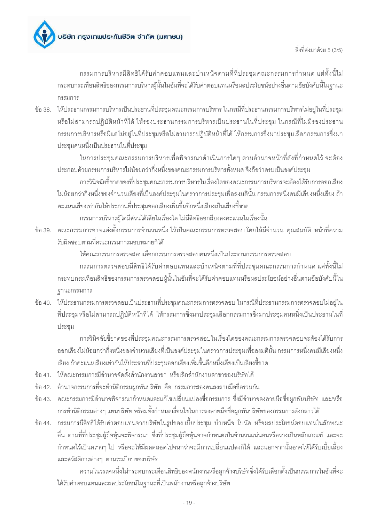สิ่งที่ส่งมาด้วย 5 (3/5)

ึกรรมการบริหารมีสิทธิได้รับค่าตอบแทนและบำเหน็จตามที่ที่ประชุมคณะกรรมการกำหนด แต่ทั้งนี้ไม่ กระทบกระเทือนสิทธิของกรรมการบริหารผู้นั้นในอันที่จะได้รับค่าตอบแทนหรือผลประโยชน์อย่างอื่นตามข้อบังคับนี้ในฐานะ กรรมการ

ข้อ 38. ให้ประธานกรรมการบริหารเป็นประธานที่ประชุมคณะกรรมการบริหาร ในกรณีที่ประธานกรรมการบริหารไม่อยู่ในที่ประชุม หรือไม่สามารถปฏิบัติหน้าที่ได้ ให้รองประธานกรรมการบริหารเป็นประธานในที่ประชุม ในกรณีที่ไม่มีรองประธาน ้กรรมการบริหารหรือมีแต่ไม่อยู่ในที่ประชุมหรือไม่สามารถปฏิบัติหน้าที่ได้ ให้กรรมการซึ่งมาประชุมเลือกกรรมการซึ่งมา ประชุมคนหนึ่งเป็นประธานในที่ประชุม

ในการประชุมคณะกรรมการบริหารเพื่อพิจารณาดำเนินการใดๆ ตามอำนาจหน้าที่ดังที่กำหนดไว้ จะต้อง ประกอบด้วยกรรมการบริหารไม่น้อยกว่ากึ่งหนึ่งของคณะกรรมการบริหารทั้งหมด จึงถือว่าครบเป็นองค์ประชุม

การวินิจฉัยชี้ขาดของที่ประชุมคณะกรรมการบริหารในเรื่องใดของคณะกรรมการบริหารจะต้องได้รับการออกเสียง ไม่น้อยกว่ากึ่งหนึ่งของจำนวนเสียงที่เป็นองค์ประชุมในคราวการประชุมเพื่อลงมตินั้น กรรมการหนึ่งคนมีเสียงหนึ่งเสียง ถ้า คะแนนเสียงเท่ากันให้ประธานที่ประชุมออกเสียงเพิ่มขึ้นอีกหนึ่งเสียงเป็นเสียงขึ้ขาด

กรรมการบริหารผู้ใดมีส่วนได้เสียในเรื่องใด ไม่มีสิทธิออกสียงลงคะแนนในเรื่องนั้น

้ ข้อ 39. คณะกรรมการอาจแต่งตั้งกรรมการจำนวนหนึ่ง ให้เป็นคณะกรรมการตรวจสอบ โดยให้มีจำนวน คณสมบัติ หน้าที่ความ รับผิดชอบตามที่คณะกรรมการมอบหมายก็ได้

ให้คณะกรรมการตรวจสอบเลือกกรรมการตรวจสอบคนหนึ่งเป็นประธานกรรมการตรวจสอบ

้ กรรมการตรวจสอบมีสิทธิได้รับค่าตอบแทนและบำเหน็จตามที่ที่ประชุมคณะกรรมการกำหนด แต่ทั้งนี้ไม่ ้กระทบกระเทือนสิทธิของกรรมการตรวจสอบผู้นั้นในอันที่จะได้รับค่าตอบแทนหรือผลประโยชน์อย่างอื่นตามข้อบังคับนี้ใน ฐานะกรรมการ

ข้อ 40. ให้ประธานกรรมการตรวจสอบเป็นประธานที่ประชุมคณะกรรมการตรวจสอบ ในกรณีที่ประธานกรรมการตรวจสอบไม่อยู่ใน ที่ประชุมหรือไม่สามารถปฏิบัติหน้าที่ได้ ให้กรรมการซึ่งมาประชุมเลือกกรรมการซึ่งมาประชุมคนหนึ่งเป็นประธานในที่ ประชม

การวินิจฉัยชี้ขาดของที่ประชุมคณะกรรมการตรวจสอบในเรื่องใดของคณะกรรมการตรวจสอบจะต้องได้รับการ ้ออกเสียงไม่น้อยกว่ากึ่งหนึ่งของจำนวนเสียงที่เป็นองค์ประชุมในคราวการประชุมเพื่อลงมตินั้น กรรมการหนึ่งคนมีเสียงหนึ่ง เสียง ถ้าคะแนนเสียงเท่ากันให้ประธานที่ประชุมออกเสียงเพิ่มขึ้นอีกหนึ่งเสียงเป็นเสียงขี้ขาด

- ข้อ 41. ให้คณะกรรมการมีอำนาจจัดตั้งสำนักงานสาขา หรือเลิกสำนักงานสาขาของบริษัทได้
- ข้อ 42. อำนาจกรรมการที่จะทำนิติกรรมผูกพันบริษัท คือ กรรมการสองคนลงลายมือชื่อร่วมกัน
- ข้อ 43. คณะกรรมการมีอำนาจพิจารณากำหนดและแก้ไขเปลี่ยนแปลงชื่อกรรมการ ซึ่งมีอำนาจลงลายมือชื่อผูกพันบริษัท และ/หรือ ้การทำนิติกรรมต่างๆ แทนบริษัท พร้อมทั้งกำหนดเงื่อนไขในการลงลายมือชื่อผุกพันบริษัทของกรรมการดังกล่าวได้
- ข้อ 44. กรรมการมีสิทธิได้รับค่าตอบแทนจากบริษัทในรูปของ เบี้ยประชุม บำเหน็จ โบนัส หรือผลประโยชน์ตอบแทนในลักษณะ ้อื่น ตามที่ที่ประชุมผู้ถือหุ้นจะพิจารณา ซึ่งที่ประชุมผู้ถือหุ้นอาจกำหนดเป็นจำนวนแน่นอนหรือวางเป็นหลักเกณฑ์ และจะ ้กำหนดไว้เป็นคราวๆ ไป หรือจะให้มีผลตลอดไปจนกว่าจะมีการเปลี่ยนแปลงก็ได้ และนอกจากนั้นอาจให้ได้รับเบี้ยเลี้ยง และสวัสดิการต่างๆ ตามระเบียบของบริษัท

้ความในวรรคหนึ่งไม่กระทบกระเทือนสิทธิของพนักงานหรือลูกจ้างบริษัทซึ่งได้รับเลือกตั้งเป็นกรรมการในอันที่จะ ได้รับค่าตอบแทนและผลประโยชน์ในฐานะที่เป็นพนักงานหรือลูกจ้างบริษัท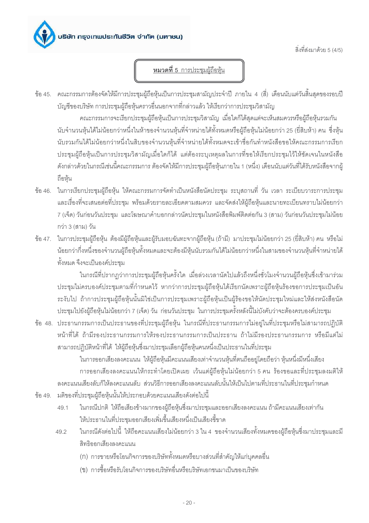

สิ่งที่ส่งมาด้วย 5 (4/5)

# หมวดที่ 5 การประชุมผู้ถือหุ้น

ข้อ 45. คณะกรรมการต้องจัดให้มีการประชุมผู้ถือหุ้นเป็นการประชุมสามัญประจำปี ภายใน 4 (สี่) เดือนนับแต่วันสิ้นสุดของรอบปี ้ บัณชีของบริษัท การประชมผู้ถือห้นคราวอื่นนอกจากที่กล่าวแล้ว ให้เรียกว่าการประชมวิสามัณ

้คณะกรรมการจะเรียกประชุมผู้ถือหุ้นเป็นการประชุมวิสามัญ เมื่อใดก็ได้สุดแต่จะเห็นสมควรหรือผู้ถือหุ้นรวมกัน นับจำนวนหุ้นได้ไม่น้อยกว่าหนึ่งในห้าของจำนวนหุ้นที่จำหน่ายได้ทั้งหมดหรือผู้ถือหุ้นไม่น้อยกว่า 25 (ยี่สิบห้า) คน ซึ่งหุ้น นับรวมกันได้ไม่น้อยกว่าหนึ่งในสิบของจำนวนหุ้นที่จำหน่ายได้ทั้งหมดจะเข้าชื่อกันทำหนังสือขอให้คณะกรรมการเรียก ประชุมผู้ถือหุ้นเป็นการประชุมวิสามัญเมื่อใดก็ได้ แต่ต้องระบุเหตุผลในการที่ขอให้เรียกประชุมไว้ให้ชัดเจนในหนังสือ ดังกล่าวด้วยในกรณีเช่นนี้คณะกรรมการ ต้องจัดให้มีการประชุมผู้ถือหุ้นภายใน 1 (หนึ่ง) เดือนนับแต่วันที่ได้รับหนังสือจากผู้ ถือห้น

- ข้อ 46. ในการเรียกประชุมผู้ถือหุ้น ให้คณะกรรมการจัดทำเป็นหนังสือนัดประชุม ระบุสถานที่ วัน เวลา ระเบียบวาระการประชุม และเรื่องที่จะเสนอต่อที่ประชุม พร้อมด้วยรายละเอียดตามสมควร และจัดส่งให้ผู้ถือหุ้นและนายทะเบียนทราบไม่น้อยกว่า 7 (เจ็ด) วันก่อนวันประชม และโฆษณาคำบอกกล่าวนัดประชมในหนังสือพิมพ์ติดต่อกัน 3 (สาม) วันก่อนวันประชมไม่น้อย กว่า 3 (สาม) วัน
- ข้อ 47. ในการประชุมผู้ถือหุ้น ต้องมีผู้ถือหุ้นและผู้รับมอบฉันทะจากผู้ถือหุ้น (ถ้ามี) มาประชุมไม่น้อยกว่า 25 (ยี่สิบห้า) คน หรือไม่ น้อยกว่ากึ่งหนึ่งของจำนวนผู้ถือหุ้นทั้งหมดและจะต้องมีหุ้นนับรวมกันได้ไม่น้อยกว่าหนึ่งในสามของจำนวนหุ้นที่จำหน่ายได้ ทั้งหมด จึงจะเป็นองค์ประชุม

ในกรณีที่ปรากฏว่าการประชุมผู้ถือหุ้นครั้งใด เมื่อล่วงเวลานัดไปแล้วถึงหนึ่งชั่วโมงจำนวนผู้ถือหุ้นซึ่งเข้ามาร่วม ประชุมไม่ครบองค์ประชุมตามที่กำหนดไว้ หากว่าการประชุมผู้ถือหุ้นได้เรียกนัดเพราะผู้ถือหุ้นร้องขอการประชุมเป็นอัน ระงับไป ถ้าการประชุมผู้ถือหุ้นนั้นมิใช่เป็นการประชุมเพราะผู้ถือหุ้นเป็นผู้ร้องขอให้นัดประชุมใหม่และให้ส่งหนังสือนัด ประชุมไปยังผู้ถือหุ้นไม่น้อยกว่า 7 (เจ็ด) วัน ก่อนวันประชุม ในการประชุมครั้งหลังนี้ไม่บังคับว่าจะต้องครบองค์ประชุม

ข้อ 48. ประธานกรรมการเป็นประธานของที่ประชุมผู้ถือหุ้น ในกรณีที่ประธานกรรมการไม่อยู่ในที่ประชุมหรือไม่สามารถปฏิบัติ หน้าที่ได้ ถ้ามีรองประธานกรรมการให้รองประธานกรรมการเป็นประธาน ถ้าไม่มีรองประธานกรรมการ หรือมีแต่ไม่ สามารถปฏิบัติหน้าที่ได้ ให้ผู้ถือหุ้นซึ่งมาประชุมเลือกผู้ถือหุ้นคนหนึ่งเป็นประธานในที่ประชุม

ในการออกเสียงลงคะแนน ให้ผู้ถือหุ้นมีคะแนนเสียงเท่าจำนวนหุ้นที่ตนถืออยู่โดยถือว่า หุ้นหนึ่งมีหนึ่งเสียง การออกเสี่ยงลงคะแนนให้กระทำโดยเปิดเผย เว้นแต่ผู้ถือหุ้นไม่น้อยกว่า 5 คน ร้องขอและที่ประชุมลงมติให้ ้ลงคะแนนเสียงลับก็ให้ลงคะแนนลับ ส่วนวิธีการออกเสียงลงคะแนนลับนั้นให้เป็นไปตามที่ประธานในที่ประชุมกำหนด ข้อ 49. มติของที่ประชุมผู้ถือหุ้นนั้นให้ประกอบด้วยคะแนนเสียงดังต่อไปนี้

- ในกรณีปกติ ให้ถือเสียงข้างมากของผู้ถือหุ้นซึ่งมาประชุมและออกเสี่ยงลงคะแนน ถ้ามีคะแนนเสียงเท่ากัน 49.1 ให้ประธานในที่ประชมออกเสียงเพิ่มขึ้นเสียงหนึ่งเป็นเสียงขึ้ขาด
- ในกรณีดังต่อไปนี้ ให้ถือคะแนนเสียงไม่น้อยกว่า 3 ใน 4 ของจำนวนเสียงทั้งหมดของผู้ถือห้นซึ่งมาประชมและมี 49.2 สิทธิออกเสียงลงคะแนน
	- (ก) การขายหรือโอนกิจการของบริษัททั้งหมดหรือบางส่วนที่สำคัญให้แก่บุคคลอื่น
	- (ข) การซื้อหรือรับโอนกิจการของบริษัทอื่นหรือบริษัทเอกชนมาเป็นของบริษัท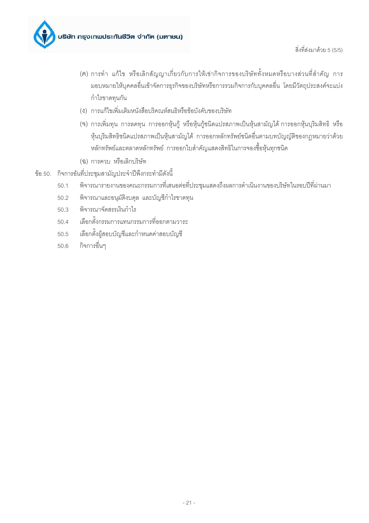

- (ค) การทำ แก้ไข หรือเลิกสัญญาเกี่ยวกับการให้เช่ากิจการของบริษัททั้งหมดหรือบางส่วนที่สำคัญ การ ้มอบหมายให้บุคคลอื่นเข้าจัดการธุรกิจของบริษัทหรือการรวมกิจการกับบุคคลอื่น โดยมีวัตถุประสงค์จะแบ่ง กำไรขาดทุนกัน
- (ง) การแก้ไขเพิ่มเติมหนังสือบริคณห์สนธิหรือข้อบังคับของบริษัท
- (จ) การเพิ่มทุน การลดทุน การออกหุ้นกู้ หรือหุ้นกู้ชนิดแปรสภาพเป็นหุ้นสามัญได้ การออกหุ้นบุริมสิทธิ หรือ หุ้นบริมสิทธิชนิดแปรสภาพเป็นหุ้นสามัญได้ การออกหลักทรัพย์ชนิดอื่นตามบทบัญญัติของกฦหมายว่าด้วย หลักทรัพย์และตลาดหลักทรัพย์ การออกใบสำคัญแสดงสิทธิในการจองซื้อหุ้นทุกชนิด
- (ฉ) การควบ หรือเลิกบริษัท
- ข้อ 50. กิจการอันที่ประชุมสามัญประจำปีพึงกระทำมีดังนี้
	- พิจารณารายงานของคณะกรรมการที่เสนอต่อที่ประชุมแสดงถึงผลการดำเนินงานของบริษัทในรอบปีที่ผ่านมา  $50.1$
	- พิจารณาและอนุมัติงบดุล และบัญชีกำไรขาดทุน  $50.2$
	- พิจารณาจัดสรรเงินกำไร  $50.3$
	- เลือกตั้งกรรมการแทนกรรมการที่ออกตามวาระ 50.4
	- เลือกตั้งผู้สอบบัญชีและกำหนดค่าสอบบัญชี  $50.5$
	- กิจการอื่นๆ  $50.6$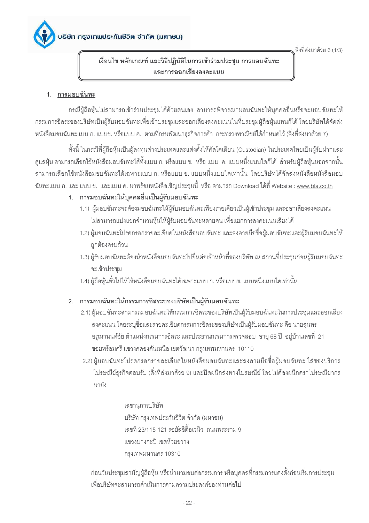สิ่งที่ส่งมาด้วย 6 (1/3)

เงื่อนไข หลักเกณฑ์ และวิธีปฏิบัติในการเข้าร่วมประชุม การมอบฉันทะ และการออกเสียงลงคะแนน

### 1. การมอบฉันทะ

้กรณีผู้ถือหุ้นไม่สามารถเข้าร่วมประชุมได้ด้วยตนเอง สามารถพิจารณามอบฉันทะให้บุคคลอื่นหรือจะมอบฉันทะให้ ้กรรมการอิสระของบริษัทเป็นผู้รับมอบฉันทะเพื่อเข้าประชุมและออกเสียงลงคะแนนในที่ประชุมผู้ถือหุ้นแทนก็ได้ โดยบริษัทได้จัดส่ง หนังสือมอบฉันทะแบบ ก. แบบข. หรือแบบ ค. ตามที่กรมพัฒนาธุรกิจการค้า กระทรวงพาณิชย์ได้กำหนดไว้ (สิ่งที่ส่งมาด้วย 7)

้ทั้งนี้ ในกรณีที่ผู้ถือหุ้นเป็นผู้ลงทุนต่างประเทศและแต่งตั้งให้คัสโตเดียน (Custodian) ในประเทศไทยเป็นผู้รับฝากและ ดูแลหุ้น สามารถเลือกใช้หนังสือมอบฉันทะได้ทั้งแบบ ก. หรือแบบ ข. หรือ แบบ ค. แบบหนึ่งแบบใดก็ได้ สำหรับผู้ถือหุ้นนอกจากนั้น สามารถเลือกใช้หนังสือมอบฉันทะได้เฉพาะแบบ ก. หรือแบบ ข. แบบหนึ่งแบบใดเท่านั้น โดยบริษัทได้จัดส่งหนังสือหนังสือมอบ ึ ฉันทะแบบ ก. และ แบบ ข. และแบบ ค. มาพร้อมหนังสือเชิญประชุมนี้ หรือ สามารถ Download ได้ที่ Website : <u>www.bla.co.th</u>

### 1. การมอบฉันทะให้บุคคลอื่นเป็นผู้รับมอบฉันทะ

- 1.1) ผู้มอบฉันทะจะต้องมอบฉันทะให้ผู้รับมอบฉันทะเพียงรายเดียวเป็นผู้เข้าประชุม และออกเสียงลงคะแนน ไม่สามารถแบ่งแยกจำนวนหุ้นให้ผู้รับมอบฉันทะหลายคน เพื่อแยกการลงคะแนนเสียงได้
- 1.2) ผู้มอบฉันทะโปรดกรอกรายละเอียดในหนังสือมอบฉันทะ และลงลายมือชื่อผู้มอบฉันทะและผู้รับมอบฉันทะให้ ถูกต้องครบถ้วน
- 1.3) ผู้รับมอบฉันทะต้องนำหนังสือมอบฉันทะไปยื่นต่อเจ้าหน้าที่ของบริษัท ณ สถานที่ประชุมก่อนผู้รับมอบฉันทะ จะเข้าประชม
- 1.4) ผู้ถือหุ้นทั่วไปให้ใช้หนังสือมอบฉันทะได้เฉพาะแบบ ก. หรือแบบข. แบบหนึ่งแบบใดเท่านั้น

### 2. การมอบฉันทะให้กรรมการอิสระของบริษัทเป็นผู้รับมอบฉันทะ

- 2.1) ผู้มอบฉันทะสามารถมอบฉันทะให้กรรมการอิสระของบริษัทเป็นผู้รับมอบฉันทะในการประชุมและออกเสียง ลงคะแนน โดยระบุชื่อและรายละเอียดกรรมการอิสระของบริษัทเป็นผู้รับมอบฉันทะ คือ นายสุนทร ้อรุณานนท์ชัย ตำแหน่งกรรมการอิสระ และประธานกรรมการตรวจสอบ อายุ 68 ปี อยู่บ้านเลขที่ 21 ซอยพร้อมศรี แขวงคลองตันเหนือ เขตวัฒนา กรุงเทพมหานคร 10110
- 2.2) ผู้มอบฉันทะโปรดกรอกรายละเอียดในหนังสือมอบฉันทะและลงลายมือชื่อผู้มอบฉันทะ ใส่ซองบริการ ไปรษณีย์ธุรกิจตอบรับ (สิ่งที่ส่งมาด้วย 9) และปิดผนึกส่งทางไปรษณีย์ โดยไม่ต้องผนึกตราไปรษณียากร มายัง

เลขานุการบริษัท บริษัท กรุงเทพประกันชีวิต จำกัด (มหาชน) เลขที่ 23/115-121 รคยัลซิตี้คเวนิว ถนนพระราม 9 แขวงบางกะปิ เขตห้วยขวาง กรงเทพมหานคร 10310

ก่อนวันประชุมสามัญผู้ถือหุ้น หรือนำมามอบต่อกรรมการ หรือบุคคลที่กรรมการแต่งตั้งก่อนเริ่มการประชุม เพื่อบริษัทจะสามารถดำเนินการตามความประสงค์ของท่านต่อไป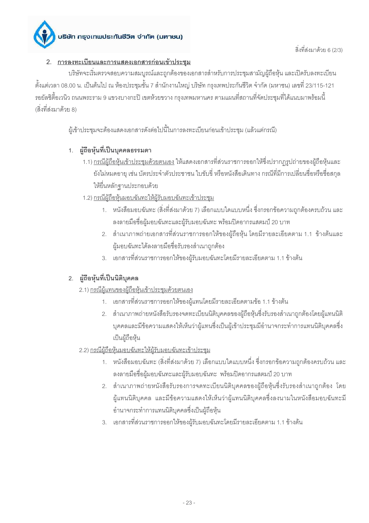## 2. การลงทะเบียนและการแสดงเอกสารก่อนเข้าประชุม

้บริษัทจะเริ่มตรวจสอบความสมบูรณ์และถูกต้องของเอกสารสำหรับการประชุมสามัญผู้ถือหุ้น และเปิดรับลงทะเบียน ้ตั้งแต่เวลา 08.00 น. เป็นต้นไป ณ ห้องประชมชั้น 7 สำนักงานใหญ่ บริษัท กรงเทพประกันชีวิต จำกัด (มหาชน) เลขที่ 23/115-121 รอยัลซิตี้อเวนิว ถนนพระราม 9 แขวงบางกะปิ เขตห้วยขวาง กรุงเทพมหานคร ตามแผนที่สถานที่จัดประชุมที่ได้แนบมาพร้อมนี้ (สิ่งที่ส่งมาด้วย 8)

ผู้เข้าประชุมจะต้องแสดงเอกสารดังต่อไปนี้ในการลงทะเบียนก่อนเข้าประชุม (แล้วแต่กรณี)

# 1. ผู้ถือหุ้นที่เป็นบุคคลธรรมดา

- 1.1) <u>กรณีผู้ถือหุ้นเข้าประชุมด้วยตนเอง</u> ให้แสดงเอกสารที่ส่วนราชการออกให้ซึ่งปรากฏรูปถ่ายของผู้ถือหุ้นและ ้ยังไม่หมดอายุ เช่น บัตรประจำตัวประชาชน ใบขับขี่ หรือหนังสือเดินทาง กรณีที่มีการเปลี่ยนชื่อหรือชื่อสกุล ให้ยื่นหลักฐานประกอบด้วย
- 1.2) <u>กรณีผู้ถือหุ้นมอบฉันทะให้ผู้รับมอบฉันทะเข้าประชุม</u>
	- 1. หนังสือมอบฉันทะ (สิ่งที่ส่งมาด้วย 7) เลือกแบบใดแบบหนึ่ง ซึ่งกรอกข้อความถูกต้องครบถ้วน และ ้ลงลายมือชื่อผู้มอบฉันทะและผู้รับมอบฉันทะ พร้อมปิดอากรแสตมป์ 20 บาท
	- 2. สำเนาภาพถ่ายเอกสารที่ส่วนราชการออกให้ของผู้ถือหุ้น โดยมีรายละเอียดตาม 1.1 ข้างต้นและ ผู้มอบฉันทะได้ลงลายมือชื่อรับรองสำเนาถูกต้อง
	- 3. เอกสารที่ส่วนราชการออกให้ของผู้รับมอบฉันทะโดยมีรายละเอียดตาม 1.1 ข้างต้น

# 2. ผู้ถือหุ้นที่เป็นนิติบุคคล

- 2.1) กรณีผู้แทนของผู้ถือหุ้นเข้าประชุมด้วยตนเอง
	- 1. เอกสารที่ส่วนราชการออกให้ของผู้แทนโดยมีรายละเอียดตามข้อ 1.1 ข้างต้น
	- 2. สำเนาภาพถ่ายหนังสือรับรองจดทะเบียนนิติบุคคลของผู้ถือหุ้นซึ่งรับรองสำเนาถูกต้องโดยผู้แทนนิติ บุคคลและมีข้อความแสดงให้เห็นว่าผู้แทนซึ่งเป็นผู้เข้าประชุมมีอำนาจกระทำการแทนนิติบุคคลซึ่ง เป็นผู้ถือห้น
- 2.2) กรณีผู้ถือหุ้นมอบฉันทะให้ผู้รับมอบฉันทะเข้าประชุม
	- 1. หนังสือมอบฉันทะ (สิ่งที่ส่งมาด้วย 7) เลือกแบบใดแบบหนึ่ง ซึ่งกรอกข้อความถูกต้องครบถ้วน และ ้ลงลายมือชื่อผู้มอบฉันทะและผู้รับมอบฉันทะ พร้อมปิดอากรแสตมป์ 20 บาท
	- 2. สำเนาภาพถ่ายหนังสือรับรองการจดทะเบียนนิติบุคคลของผู้ถือหุ้นซึ่งรับรองสำเนาถูกต้อง โดย ผู้แทนนิติบุคคล และมีข้อความแสดงให้เห็นว่าผู้แทนนิติบุคคลซึ่งลงนามในหนังสือมอบฉันทะมี อำนาจกระทำการแทนนิติบุคคลซึ่งเป็นผู้ถือหุ้น
	- 3. เอกสารที่ส่วนราชการออกให้ของผู้รับมอบฉันทะโดยมีรายละเอียดตาม 1.1 ข้างต้น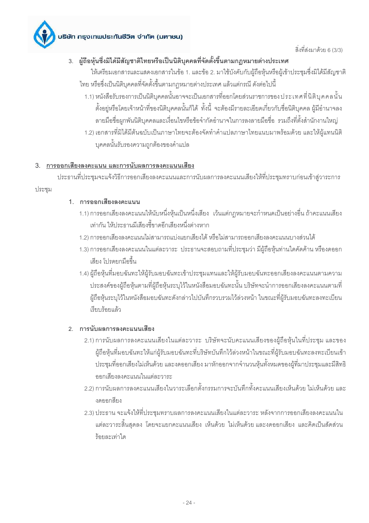

# 3. ผู้ถือหุ้นซึ่งมิได้มีสัญชาติไทยหรือเป็นนิติบุคคลที่จัดตั้งขึ้นตามกฎหมายต่างประเทศ

ให้เตรียมเอกสารและแสดงเอกสารในข้อ 1. และข้อ 2. มาใช้บังคับกับผู้ถือหุ้นหรือผู้เข้าประชุมซึ่งมิได้มีสัญชาติ ไทย หรือซึ่งเป็นนิติบุคคลที่จัดตั้งขึ้นตามกฎหมายต่างประเทศ แล้วแต่กรณี ดังต่อไปนี้

- 1.1) หนังสือรับรองการเป็นนิติบุคคลนั้นอาจจะเป็นเอกสารที่ออกโดยส่วนราชการของ ประเทศที่นิติบุคคลนั้น ตั้งอยู่หรือโดยเจ้าหน้าที่ของนิติบุคคลนั้นก็ได้ ทั้งนี้ จะต้องมีรายละเอียดเกี่ยวกับชื่อนิติบุคคล ผู้มีอำนาจลง ลายมือชื่อผูกพันนิติบุคคลและเงื่อนไขหรือข้อจำกัดอำนาจในการลงลายมือชื่อ รวมถึงที่ตั้งสำนักงานใหญ่
- 1.2) เอกสารที่มิได้มีต้นฉบับเป็นภาษาไทยจะต้องจัดทำคำแปลภาษาไทยแนบมาพร้อมด้วย และให้ผู้แทนนิติ บุคคลนั้นรับรองความถูกต้องของคำแปล

### 3. การออกเสียงลงคะแนน และการนับผลการลงคะแนนเสียง

ประธานที่ประชุมจะแจ้งวิธีการออกเสียงลงคะแนนและการนับผลการลงคะแนนเสียงให้ที่ประชุมทราบก่อนเข้าสู่วาระการ

ประชม

### 1 การออกเสียงลงคะแนน

- 1.1) การออกเสียงลงคะแนนให้นับหนึ่งหุ้นเป็นหนึ่งเสียง เว้นแต่กฎหมายจะกำหนดเป็นอย่างอื่น ถ้าคะแนนเสียง เท่ากัน ให้ประธานมีเสียงชี้ขาดอีกเสียงหนึ่งต่างหาก
- 1.2) การคอกเสียงลงคะแนนไม่สามารถแบ่งแยกเสียงได้ หรือไม่สามารถคอกเสียงลงคะแนนบางส่วนได้
- 1.3) การออกเสียงลงคะแนนในแต่ละวาระ ประธานจะสอบถามที่ประชุมว่า มีผู้ถือหุ้นท่านใดคัดค้าน หรืองดออก เสียง โปรดยกมือขึ้น
- 1.4) ผู้ถือหุ้นที่มอบฉันทะให้ผู้รับมอบฉันทะเข้าประชุมแทนและให้ผู้รับมอบฉันทะออกเสียงลงคะแนนตามความ ประสงค์ของผู้ถือหุ้นตามที่ผู้ถือหุ้นระบุไว้ในหนังสือมอบฉันทะนั้น บริษัทจะนำการออกเสียงลงคะแนนตามที่ ผู้ถือหุ้นระบุไว้ในหนังสือมอบฉันทะดังกล่าวไปบันทึกรวบรวมไว้ล่วงหน้า ในขณะที่ผู้รับมอบฉันทะลงทะเบียน เรียบร้อยแล้ว

### 2. การนับผลการลงคะแนนเสียง

- 2.1) การนับผลการลงคะแนนเสียงในแต่ละวาระ บริษัทจะนับคะแนนเสียงของผู้ถือหุ้นในที่ประชุม และของ ผู้ถือหุ้นที่มอบฉันทะให้แก่ผู้รับมอบฉันทะที่บริษัทบันทึกไว้ล่วงหน้าในขณะที่ผู้รับมอบฉันทะลงทะเบียนเข้า ประชุมที่ออกเสียงไม่เห็นด้วย และงดออกเสียง มาหักออกจากจำนวนหุ้นทั้งหมดของผู้ที่มาประชุมและมีสิทธิ ออกเสียงลงคะแนนในแต่ละวาระ
- 2.2) การนับผลการลงคะแนนเสียงในวาระเลือกตั้งกรรมการจะบันทึกทั้งคะแนนเสียงเห็นด้วย ไม่เห็นด้วย และ งดคคกสียง
- 2.3) ประธาน จะแจ้งให้ที่ประชุมทราบผลการลงคะแนนเสียงในแต่ละวาระ หลังจากการออกเสียงลงคะแนนใน แต่ละวาระลิ้นสดลง โดยจะแยกคะแนนเสียง เห็นด้วย ไม่เห็นด้วย และงดออกเสียง และคิดเป็นสัดส่วน ร้คยละเท่าใด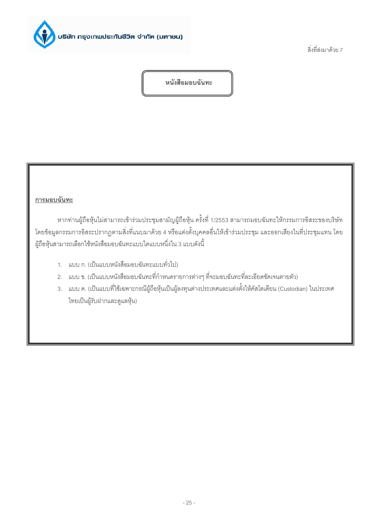

สิ่งที่ส่งมาด้วย 7

หนังสือมอบฉันทะ

### <u>การมอบฉันทะ</u>

หากท่านผู้ถือหุ้นไม่สามารถเข้าร่วมประชุมสามัญผู้ถือหุ้น ครั้งที่ 1/2553 สามารถมอบฉันทะให้กรรมการอิสระของบริษัท โดยข้อมูลกรรมการอิสระปรากฏตามสิ่งที่แนบมาด้วย 4 หรือแต่งตั้งบุคคลอื่นให้เข้าร่วมประชุม และออกเสียงในที่ประชุมแทน โดย ผู้ถือหุ้นสามารถเลือกใช้หนังสือมอบฉันทะแบบใดแบบหนึ่งใน 3 แบบดังนี้

- 1. แบบ ก. (เป็นแบบหนังสือมอบฉันทะแบบทั่วไป)
- 2. แบบ ข. (เป็นแบบหนังสือมอบฉันทะที่กำหนดรายการต่างๆ ที่จะมอบฉันทะที่ละเอียดขัดเจนตายตัว)
- 3. แบบ ค. (เป็นแบบที่ใช้เฉพาะกรณีผู้ถือหุ้นเป็นผู้ลงทุนต่างประเทศและแต่งตั้งให้คัสโตเดียน (Custodian) ในประเทศ ไทยเป็นผู้รับฝากและดูแลหุ้น)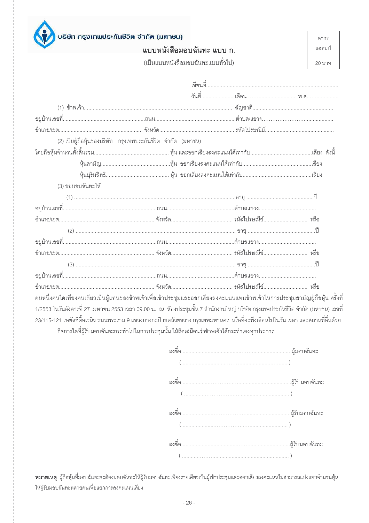

แบบหนังสือมอบฉันทะ แบบ ก.

อากร แสตมป์

(เป็นแบบหนังสือมอบฉันทะแบบทั่วไป)

20 บาท

|                                                                                                                                     | (2) เป็นผู้ถือหุ้นของบริษัท กรุงเทพประกันชีวิต จำกัด (มหาชน) |  |
|-------------------------------------------------------------------------------------------------------------------------------------|--------------------------------------------------------------|--|
|                                                                                                                                     |                                                              |  |
|                                                                                                                                     |                                                              |  |
|                                                                                                                                     |                                                              |  |
| (3) ขอมอบฉันทะให้                                                                                                                   |                                                              |  |
|                                                                                                                                     |                                                              |  |
|                                                                                                                                     |                                                              |  |
|                                                                                                                                     |                                                              |  |
|                                                                                                                                     |                                                              |  |
|                                                                                                                                     |                                                              |  |
|                                                                                                                                     |                                                              |  |
|                                                                                                                                     |                                                              |  |
|                                                                                                                                     |                                                              |  |
|                                                                                                                                     |                                                              |  |
| คนหนึ่งคนใดเพียงคนเดียวเป็นผู้แทนของข้าพเจ้าเพื่อเข้าประชุมและออกเสียงลงคะแนนแทนข้าพเจ้าในการประชุมสามัญผู้ถือหุ้น ครั้งที่         |                                                              |  |
| 1/2553 ในวันอังคารที่ 27 เมษายน 2553 เวลา 09.00 น.  ณ  ห้องประชุมชั้น 7 สำนักงานใหญ่ บริษัท กรุงเทพประกันชีวิต จำกัด (มหาชน) เลขที่ |                                                              |  |

เพื่ 23/115-121 รอยัลซิตี้อเวนิว ถนนพระราม 9 แขวงบางกะปิ เขตห้วยขวาง กรุงเทพมหานคร หรือที่จะพึงเลื่อนไปในวัน เวลา และสถานที่อื่นด้วย กิจการใดที่ผู้รับมอบฉันทะกระทำไปในการประชุมนั้น ให้ถือเสมือนว่าข้าพเจ้าได้กระทำเองทุกประการ

<u>หมายเหตุ</u> ผู้ถือหุ้นที่มอบฉันทะจะต้องมอบฉันทะให้ผู้รับมอบฉันทะเพียงรายเดียวเป็นผู้เข้าประชุมและออกเสียงลงคะแนนไม่สามารถแบ่งแยกจำนวนหุ้น ให้ผู้รับมอบฉันทะหลายคนเพื่อแยกการลงคะแนนเสียง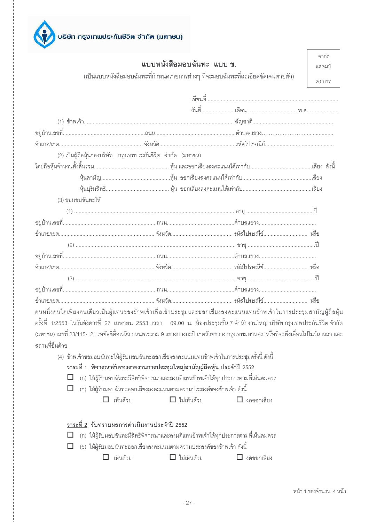

|                   | แบบหนังสือมอบฉันทะ แบบ ข.                                                                    |                                                                                                                                                                                                                                                                                                                                                                                       | อากร<br>แสตมาใ |
|-------------------|----------------------------------------------------------------------------------------------|---------------------------------------------------------------------------------------------------------------------------------------------------------------------------------------------------------------------------------------------------------------------------------------------------------------------------------------------------------------------------------------|----------------|
|                   |                                                                                              | (เป็นแบบหนังสือมอบฉันทะที่กำหนดรายการต่างๆ ที่จะมอบฉันทะที่ละเอียดชัดเจนตายตัว)                                                                                                                                                                                                                                                                                                       | 20 บาท         |
|                   |                                                                                              |                                                                                                                                                                                                                                                                                                                                                                                       |                |
|                   |                                                                                              |                                                                                                                                                                                                                                                                                                                                                                                       |                |
|                   |                                                                                              |                                                                                                                                                                                                                                                                                                                                                                                       |                |
|                   |                                                                                              |                                                                                                                                                                                                                                                                                                                                                                                       |                |
|                   |                                                                                              |                                                                                                                                                                                                                                                                                                                                                                                       |                |
|                   | (2) เป็นผู้ถือหุ้นของบริษัท กรุงเทพประกันชีวิต จำกัด (มหาชน)                                 |                                                                                                                                                                                                                                                                                                                                                                                       |                |
|                   |                                                                                              |                                                                                                                                                                                                                                                                                                                                                                                       |                |
|                   |                                                                                              |                                                                                                                                                                                                                                                                                                                                                                                       |                |
|                   |                                                                                              |                                                                                                                                                                                                                                                                                                                                                                                       |                |
| (3) ขอมอบฉันทะให้ |                                                                                              |                                                                                                                                                                                                                                                                                                                                                                                       |                |
|                   |                                                                                              |                                                                                                                                                                                                                                                                                                                                                                                       |                |
|                   |                                                                                              |                                                                                                                                                                                                                                                                                                                                                                                       |                |
|                   |                                                                                              |                                                                                                                                                                                                                                                                                                                                                                                       |                |
|                   |                                                                                              |                                                                                                                                                                                                                                                                                                                                                                                       |                |
|                   |                                                                                              |                                                                                                                                                                                                                                                                                                                                                                                       |                |
|                   |                                                                                              |                                                                                                                                                                                                                                                                                                                                                                                       |                |
|                   |                                                                                              |                                                                                                                                                                                                                                                                                                                                                                                       |                |
|                   |                                                                                              |                                                                                                                                                                                                                                                                                                                                                                                       |                |
|                   |                                                                                              |                                                                                                                                                                                                                                                                                                                                                                                       |                |
|                   |                                                                                              | คนหนึ่งคนใดเพียงคนเดียวเป็นผู้แทนของข้าพเจ้าเพื่อเข้าประชุมและออกเสียงลงคะแนนแทนข้าพเจ้าในการประชุมสามัญผู้ถือหุ้น<br>ครั้งที่ 1/2553 ในวันอังคารที่ 27 เมษายน 2553 เวลา   09.00 น. ห้องประชุมชั้น 7 สำนักงานใหญ่ บริษัท กรุงเทพประกันชีวิต จำกัด<br>(มหาชน) เลขที่ 23/115-121 รอยัลซิตี้อเวนิว ถนนพระราม 9 แขวงบางกะปิ เขตห้วยขวาง กรุงเทพมหานคร  หรือที่จะพึงเลื่อนไปในวัน เวลา และ |                |
| สถานที่อื่นด้วย   |                                                                                              |                                                                                                                                                                                                                                                                                                                                                                                       |                |
|                   | (4)  ข้าพเจ้าขอมอบฉันทะให้ผู้รับมอบฉันทะออกเสียงลงคะแนนแทนข้าพเจ้าในการประชุมครั้งนี้ ดังนี้ |                                                                                                                                                                                                                                                                                                                                                                                       |                |
|                   | <u>วาระที่ 1</u> พิจารณารับรองรายงานการประชุมใหญ่สามัญผู้ถือหุ้น ประจำปี 2552                |                                                                                                                                                                                                                                                                                                                                                                                       |                |
|                   | (ก) ให้ผู้รับมอบฉันทะมีสิทธิพิจารณาและลงมติแทนข้าพเจ้าได้ทุกประการตามที่เห็นสมควร            |                                                                                                                                                                                                                                                                                                                                                                                       |                |
|                   | (ข)  ให้ผู้รับมอบฉันทะออกเสี่ยงลงคะแนนตามความประสงค์ของข้าพเจ้า ดังนี้                       |                                                                                                                                                                                                                                                                                                                                                                                       |                |
| $\Box$ เห็นด้วย   | $\Box$ ไม่เห็นด้วย                                                                           | $\Box$ งดออกเสียง                                                                                                                                                                                                                                                                                                                                                                     |                |

| วาระที่ 2  รับทราบผลการดำเนินงานประจำปี 2552 |  |
|----------------------------------------------|--|
|                                              |  |

 $\Box$  (ก) ให้ผู้รับมอบฉันทะมีสิทธิพิจารณาและลงมติแทนข้าพเจ้าได้ทุกประการตามที่เห็นสมควร

- $\Box$  (ข) ให้ผู้รับมอบฉันทะออกเสียงลงคะแนนตามความประสงค์ของข้าพเจ้า ดังนี้
	- $\Box$  ไม่เห็นด้วย □ เห็นด้วย  $\Box$ งดออกเสียง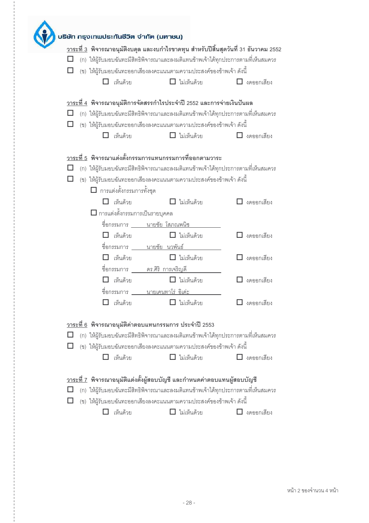|  | บธิษัท กธุงเทพประกันชีวิต จำกัด (มหาชน)                      |                                                                                 |                                                                                            |
|--|--------------------------------------------------------------|---------------------------------------------------------------------------------|--------------------------------------------------------------------------------------------|
|  |                                                              |                                                                                 | <u>วาระที่ 3</u> พิจารณาอนุมัติงบดุล และงบกำไรขาดทุน สำหรับปีสิ้นสุดวันที่ 31 ธันวาคม 2552 |
|  |                                                              |                                                                                 | (ก) ให้ผู้รับมอบฉันทะมีสิทธิพิจารณาและลงมติแทนข้าพเจ้าได้ทุกประการตามที่เห็นสมควร          |
|  |                                                              | (ข)  ให้ผู้รับมอบฉันทะออกเสียงลงคะแนนตามความประสงค์ของข้าพเจ้า ดังนี้           |                                                                                            |
|  | เห็นด้วย                                                     | $\Box$ ไม่เห็นด้วย                                                              | งดออกเสียง                                                                                 |
|  |                                                              |                                                                                 |                                                                                            |
|  |                                                              | <u>วาระที่ 4</u> พิจารณาอนุมัติการจัดสรรกำไรประจำปี 2552 และการจ่ายเงินปันผล    |                                                                                            |
|  |                                                              |                                                                                 | (ก) ให้ผู้รับมอบฉันทะมีสิทธิพิจารณาและลงมติแทนข้าพเจ้าได้ทุกประการตามที่เห็นสมควร          |
|  |                                                              | (ข) ให้ผู้รับมอบฉันทะออกเสียงลงคะแนนตามความประสงค์ของข้าพเจ้า ดังนี้            |                                                                                            |
|  | เห็นด้วย                                                     | $\Box$ ไม่เห็นด้วย                                                              | $\Box$ งดออกเสียง                                                                          |
|  |                                                              |                                                                                 |                                                                                            |
|  |                                                              | <u>วาระที่ 5</u> พิจารณาแต่งตั้งกรรมการแทนกรรมการที่ออกตามวาระ                  |                                                                                            |
|  |                                                              |                                                                                 | (ก) ให้ผู้รับมอบฉันทะมีสิทธิพิจารณาและลงมติแทนข้าพเจ้าได้ทุกประการตามที่เห็นสมควร          |
|  |                                                              | (ข) ให้ผู้รับมอบฉันทะออกเสียงลงคะแนนตามความประสงค์ของข้าพเจ้า ดังนี้            |                                                                                            |
|  | $\Box$ การแต่งตั้งกรรมการทั้งชุด                             |                                                                                 |                                                                                            |
|  | เห็นด้วย                                                     | ไม่เห็นด้วย                                                                     | $\Box$ งดออกเสียง                                                                          |
|  | $\Box$ การแต่งตั้งกรรมการเป็นรายบุคคล                        |                                                                                 |                                                                                            |
|  | <u> ชื่อกรรมการ ______นายชัย โสภณพนิช</u>                    |                                                                                 |                                                                                            |
|  | $\Box$ เห็นด้วย                                              | $\Box$ ไม่เห็นด้วย                                                              | $\Box$ งดออกเสียง                                                                          |
|  | <u> ชื่อกรรมการ ______นายชัย นวพันธ์</u>                     |                                                                                 |                                                                                            |
|  | เห็นด้วย                                                     | $\Box$ ไม่เห็นด้วย                                                              | $\Box$ งดออกเสียง                                                                          |
|  |                                                              |                                                                                 |                                                                                            |
|  | <u> ชื่อกรรมการ _____ดร.ศิริ_การเจริญดี</u>                  |                                                                                 |                                                                                            |
|  | เห็นด้วย                                                     | $\Box$ ไม่เห็นด้วย                                                              | งดออกเสียง                                                                                 |
|  | <u> ชื่อกรรมการ   นายเคนทาโร่ อิเด่ะ</u>                     |                                                                                 |                                                                                            |
|  | เห็นด้วย                                                     | $\Box$ ไม่เห็นด้วย                                                              | $\Box$ งดออกเสียง                                                                          |
|  |                                                              |                                                                                 |                                                                                            |
|  | <u>วาระที่ 6</u> พิจารณาอนุมัติค่าตอบแทนกรรมการ ประจำปี 2553 |                                                                                 |                                                                                            |
|  |                                                              |                                                                                 | (ก) ให้ผู้รับมอบฉันทะมีสิทธิพิจารณาและลงมติแทนข้าพเจ้าได้ทุกประการตามที่เห็นสมควร          |
|  |                                                              | (ข)  ให้ผู้รับมอบฉันทะออกเสียงลงคะแนนตามความประสงค์ของข้าพเจ้า ดังนี้           |                                                                                            |
|  | เห็นด้วย                                                     | $\Box$ ไม่เห็นด้วย                                                              | $\Box$ งดออกเสียง                                                                          |
|  |                                                              |                                                                                 |                                                                                            |
|  |                                                              | <u>วาระที่ 7</u> พิจารณาอนุมัติแต่งตั้งผู้สอบบัญชี และกำหนดค่าตอบแทนผู้สอบบัญชี |                                                                                            |
|  |                                                              |                                                                                 | (ก) ให้ผู้รับมอบฉันทะมีสิทธิพิจารณาและลงมติแทนข้าพเจ้าได้ทุกประการตามที่เห็นสมควร          |
|  |                                                              | (ข) ให้ผู้รับมอบฉันทะออกเสียงลงคะแนนตามความประสงค์ของข้าพเจ้า ดังนี้            |                                                                                            |
|  | เห็นด้วย                                                     | $\Box$ ไม่เห็นด้วย                                                              | งดออกเสียง                                                                                 |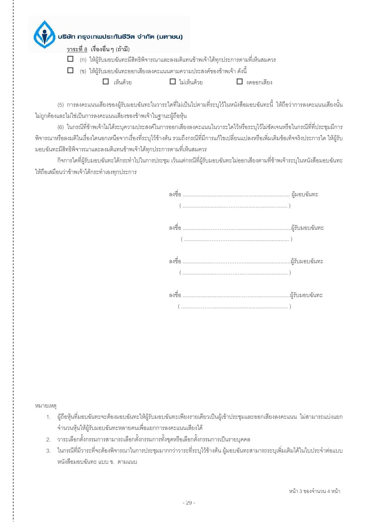วาระที่ 8 เรื่องอื่น ๆ (ถ้ามี)

 $\Box$  (ก) ให้ผู้รับมอบฉันทะมีสิทธิพิจารณาและลงมติแทนข้าพเจ้าได้ทุกประการตามที่เห็นสมควร

 $\Box$  (ข) ให้ผู้รับมอบฉันทะออกเสียงลงคะแนนตามความประสงค์ของข้าพเจ้า ดังนี้

 $\Box$  เห็นด้วย

□ ไม่เห็นด้วย

 $\Box$  งดออกเสียง

(5) การลงคะแนนเสียงของผู้รับมอบฉันทะในวาระใดที่ไม่เป็นไปตามที่ระบุไว้ในหนังสือมอบฉันทะนี้ ให้ถือว่าการลงคะแนนเสียงนั้น ไม่ถูกต้องและไม่ใช่เป็นการลงคะแนนเสียงของข้าพเจ้าในฐานะผู้ถือหุ้น

(6) ในกรณีที่ข้าพเจ้าไม่ได้ระบุความประสงค์ในการออกเสียงลงคะแนนในวาระใดไว้หรือระบุไว้ไม่ขัดเจนหรือในกรณีที่ที่ประชุมมีการ ้พิจารณาหรือลงมติในเรื่องใดนอกเหนือจากเรื่องที่ระบุไว้ข้างต้น รวมถึงกรณีที่มีการแก้ไขเปลี่ยนแปลงหรือเพิ่มเติมข้อเท็จจริงประการใด ให้ผู้รับ ้มอบฉันทะมีสิทธิพิจารณาและลงมติแทนข้าพเจ้าได้ทุกประการตามที่เห็นสมควร

กิจการใดที่ผู้รับมอบฉันทะได้กระทำไปในการประชุม เว้นแต่กรณีที่ผู้รับมอบฉันทะไม่ออกเสียงตามที่ข้าพเจ้าระบุในหนังสือมอบฉันทะ ให้ถือเสมือนว่าข้าพเจ้าได้กระทำเองทุกประการ

หมายเหต

- ผู้ถือหุ้นที่มอบฉันทะจะต้องมอบฉันทะให้ผู้รับมอบฉันทะเพียงรายเดียวเป็นผู้เข้าประชุมและออกเสียงลงคะแนน ไม่สามารถแบ่งแยก  $1.$ ้จำนวนหุ้นให้ผู้รับมอบฉันทะหลายคนเพื่อแยกการลงคะแนนเสียงได้
- 2. วาระเลือกตั้งกรรมการสามารถเลือกตั้งกรรมการทั้งชุดหรือเลือกตั้งกรรมการเป็นรายบุคคล
- 3. ในกรณีที่มีวาระที่จะต้องพิจารณาในการประชุมมากกว่าวาระที่ระบุไว้ข้างต้น ผู้มอบฉันทะสามารถระบุเพิ่มเติมได้ในใบประจำต่อแบบ หนังสือมอบฉันทะ แบบ ข. ตามแนบ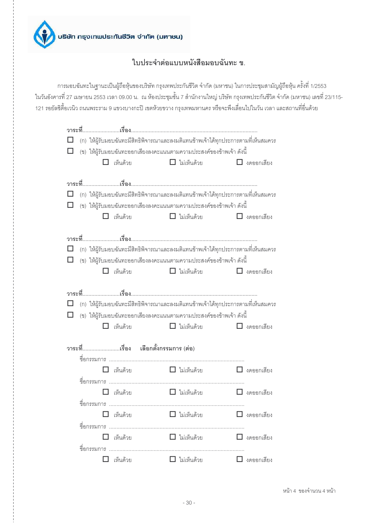

# ใบประจำต่อแบบหนังสือมอบฉันทะ ข.

การมอบฉันทะในฐานะเป็นผู้ถือหุ้นของบริษัท กรุงเทพประกันชีวิต จำกัด (มหาชน) ในการประชุมสามัญผู้ถือหุ้น ครั้งที่ 1/2553 ในวันอังคารที่ 27 เมษายน 2553 เวลา 09.00 น. ณ ห้องประชุมชั้น 7 สำนักงานใหญ่ บริษัท กรุงเทพประกันชีวิต จำกัด (มหาชน) เลขที่ 23/115-121 รอยัลซิตี้อเวนิว ถนนพระราม 9 แขวงบางกะปิ เขตห้วยขวาง กรุงเทพมหานคร หรือจะพึงเลื่อนไปในวัน เวลา และสถานที่อื่นด้วย

|   |             |                 | (ก) ให้ผู้รับมอบฉันทะมีสิทธิพิจารณาและลงมติแทนข้าพเจ้าได้ทุกประการตามที่เห็นสมควร                                                                         |                                      |                    |
|---|-------------|-----------------|-----------------------------------------------------------------------------------------------------------------------------------------------------------|--------------------------------------|--------------------|
| □ |             |                 | (ข) ให้ผู้รับมอบฉันทะออกเสี่ยงลงคะแนนตามความประสงค์ของข้าพเจ้า ดังนี้                                                                                     |                                      |                    |
|   |             | เห็นด้วย        |                                                                                                                                                           | $\Box$ ไม่เห็นด้วย                   | $\Box$ งดออกเสียง  |
|   |             |                 |                                                                                                                                                           |                                      |                    |
| □ |             |                 |                                                                                                                                                           |                                      |                    |
|   |             |                 | (ก) ให้ผู้รับมอบฉันทะมีสิทธิพิจารณาและลงมติแทนข้าพเจ้าได้ทุกประการตามที่เห็นสมควร<br>(ข) ให้ผู้รับมอบฉันทะออกเสียงลงคะแนนตามความประสงค์ของข้าพเจ้า ดังนี้ |                                      |                    |
|   |             | เห็นด้วย        |                                                                                                                                                           | $\Box$ ไม่เห็นด้วย                   | $\Box$ งดออกเสียง  |
|   |             |                 |                                                                                                                                                           |                                      |                    |
|   |             |                 |                                                                                                                                                           |                                      |                    |
| □ |             |                 | (ก) ให้ผู้รับมอบฉันทะมีสิทธิพิจารณาและลงมติแทนข้าพเจ้าได้ทุกประการตามที่เห็นสมควร                                                                         |                                      |                    |
| □ |             |                 | (ข) ให้ผู้รับมอบฉันทะออกเสี่ยงลงคะแนนตามความประสงค์ของข้าพเจ้า ดังนี้                                                                                     |                                      |                    |
|   |             | เห็นด้วย        |                                                                                                                                                           | $\Box$ ไม่เห็นด้วย                   | $\Box$ งดออกเสียง  |
|   |             |                 |                                                                                                                                                           |                                      |                    |
|   |             |                 |                                                                                                                                                           |                                      |                    |
| □ |             |                 | (ก) ให้ผู้รับมอบฉันทะมีสิทธิพิจารณาและลงมติแทนข้าพเจ้าได้ทุกประการตามที่เห็นสมควร                                                                         |                                      |                    |
| ◻ |             |                 | (ข) ให้ผู้รับมอบฉันทะออกเสียงลงคะแนนตามความประสงค์ของข้าพเจ้า ดังนี้                                                                                      |                                      |                    |
|   |             | เห็นด้วย        |                                                                                                                                                           | $\Box$ ไม่เห็นด้วย $\Box$ งดออกเสียง |                    |
|   |             |                 |                                                                                                                                                           |                                      |                    |
|   |             |                 | วาระที่เรื่อง เลือกตั้งกรรมการ(ต่อ)                                                                                                                       |                                      |                    |
|   |             | เห็นด้วย        | ■ ไม่เห็นด้วย                                                                                                                                             |                                      | $\Box$ งดออกเสียง  |
|   |             |                 |                                                                                                                                                           |                                      |                    |
|   |             | เห็นด้วย        | $\Box$ ไม่เห็นด้วย                                                                                                                                        |                                      | $\Box$ งดออกเลี้ยง |
|   | ชื่อกรรมการ |                 |                                                                                                                                                           |                                      |                    |
|   |             | $\Box$ เห็นด้วย | □ ไม่เห็นด้วย                                                                                                                                             |                                      | $\Box$ งดออกเสียง  |
|   |             |                 |                                                                                                                                                           |                                      |                    |
|   |             | เห็นด้วย        | □ ไม่เห็นด้วย                                                                                                                                             |                                      | $\Box$ งดออกเสียง  |
|   |             |                 |                                                                                                                                                           |                                      |                    |
|   |             | เห็นด้วย        | $\Box$ ไม่เห็นด้วย                                                                                                                                        |                                      | $\Box$ งดออกเสียง  |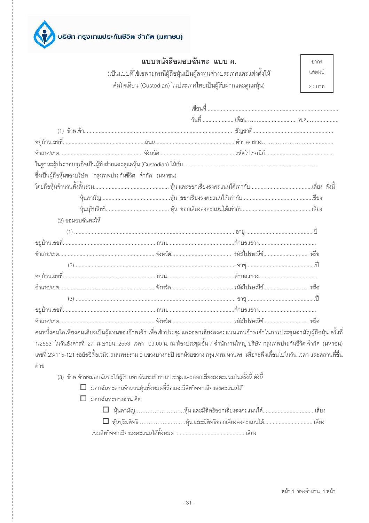

|                                                              | แบบหนังสือมอบฉันทะ แบบ ค.                                             |  | คากร   |
|--------------------------------------------------------------|-----------------------------------------------------------------------|--|--------|
|                                                              | (เป็นแบบที่ใช้เฉพาะกรณีผู้ถือหุ้นเป็นผู้ลงทุนต่างประเทศและแต่งตั้งให้ |  | แสตมป์ |
|                                                              | คัสโตเดียน (Custodian) ในประเทศไทยเป็นผู้รับฝากและดูแลหุ้น)           |  | 20 บาท |
|                                                              |                                                                       |  |        |
|                                                              |                                                                       |  |        |
|                                                              |                                                                       |  |        |
|                                                              |                                                                       |  |        |
|                                                              |                                                                       |  |        |
|                                                              |                                                                       |  |        |
| ซึ่งเป็นผู้ถือหุ้นของบริษัท กรุงเทพประกันชีวิต จำกัด (มหาชน) |                                                                       |  |        |
|                                                              |                                                                       |  |        |
|                                                              |                                                                       |  |        |
|                                                              |                                                                       |  |        |
| (2) ขอมอบฉันทะให้                                            |                                                                       |  |        |
|                                                              |                                                                       |  |        |
|                                                              |                                                                       |  |        |
|                                                              |                                                                       |  |        |
|                                                              |                                                                       |  |        |
|                                                              |                                                                       |  |        |
|                                                              |                                                                       |  |        |
|                                                              |                                                                       |  |        |

| ้ คนหนึ่งคนใดเพียงคนเดียวเป็นผู้แทนของข้าพเจ้า เพื่อเข้าประชุมและออกเสียงลงคะแนนแทนข้าพเจ้าในการประชุมสามัญผู้ถือหุ้น ครั้งที่ |  |  |
|--------------------------------------------------------------------------------------------------------------------------------|--|--|
|                                                                                                                                |  |  |

1/2553 ในวันอังคารที่ 27 เมษายน 2553 เวลา 09.00 น. ณ ห้องประชุมชั้น 7 สำนักงานใหญ่ บริษัท กรุงเทพประกันชีวิต จำกัด (มหาชน) เลขที่ 23/115-121 รอยัลซิตี้อเวนิว ถนนพระราม 9 แขวงบางกะปิ เขตห้วยขวาง กรุงเทพมหานคร หรือจะพึ่งเลื่อนไปในวัน เวลา และสถานที่อื่น ด้วย

(3) ข้าพเจ้าขอมอบฉันทะให้ผู้รับมอบฉันทะเข้าร่วมประชุมและออกเสียงลงคะแนนในครั้งนี้ ดังนี้

- $\Box$  มอบฉันทะตามจำนวนหุ้นทั้งหมดที่ถือและมีสิทธิออกเสียงลงคะแนนได้
- $\Box$  มคบดันทะบางส่วน คือ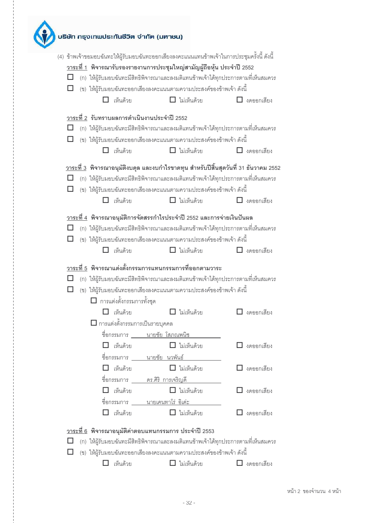|   |  |                                  | (4)  ข้าพเจ้าขอมอบฉันทะให้ผู้รับมอบฉันทะออกเสียงลงคะแนนแทนข้าพเจ้าในการประชุมครั้งนี้ ดังนี้<br><u>วาระที่ 1</u> พิจารณารับรองรายงานการประชุมใหญ่สามัญผู้ถือหุ้น ประจำปี 2552<br>(ก) ให้ผู้รับมอบฉันทะมีสิทธิพิจารณาและลงมติแทนข้าพเจ้าได้ทุกประการตามที่เห็นสมควร<br>(ข) ให้ผู้รับมอบฉันทะออกเสียงลงคะแนนตามความประสงค์ของข้าพเจ้า ดังนี้ |                        |
|---|--|----------------------------------|--------------------------------------------------------------------------------------------------------------------------------------------------------------------------------------------------------------------------------------------------------------------------------------------------------------------------------------------|------------------------|
|   |  | $\Box$ เห็นด้วย                  | $\Box$ ไม่เห็นด้วย                                                                                                                                                                                                                                                                                                                         | $\Box$ งดออกเสียง      |
|   |  |                                  | <u>วาระที่ 2</u> รับทราบผลการดำเนินงานประจำปี 2552                                                                                                                                                                                                                                                                                         |                        |
|   |  |                                  | (ก) ให้ผู้รับมอบฉันทะมีสิทธิพิจารณาและลงมติแทนข้าพเจ้าได้ทุกประการตามที่เห็นสมควร                                                                                                                                                                                                                                                          |                        |
|   |  |                                  | (ข) ให้ผู้รับมอบฉันทะออกเสียงลงคะแนนตามความประสงค์ของข้าพเจ้า ดังนี้                                                                                                                                                                                                                                                                       |                        |
|   |  | $\Box$ เห็นด้วย                  | $\Box$ ไม่เห็นด้วย                                                                                                                                                                                                                                                                                                                         | $\Box$ งดออกเสียง      |
|   |  |                                  | <u>วาระที่ 3</u> พิจารณาอนุมัติงบดุล และงบกำไรขาดทุน สำหรับปีสิ้นสุดวันที่ 31 ธันวาคม 2552                                                                                                                                                                                                                                                 |                        |
|   |  |                                  | (ก) ให้ผู้รับมอบฉันทะมีสิทธิพิจารณาและลงมติแทนข้าพเจ้าได้ทุกประการตามที่เห็นสมควร                                                                                                                                                                                                                                                          |                        |
|   |  |                                  | (ข) ให้ผู้รับมอบฉันทะออกเสียงลงคะแนนตามความประสงค์ของข้าพเจ้า ดังนี้                                                                                                                                                                                                                                                                       |                        |
|   |  | <b>]</b> เห็นด้วย                | $\Box$ ไม่เห็นด้วย                                                                                                                                                                                                                                                                                                                         | $\Box$ งดออกเสียง      |
|   |  |                                  | <u>วาระที่ 4</u> พิจารณาอนุมัติการจัดสรรกำไรประจำปี 2552 และการจ่ายเงินปันผล                                                                                                                                                                                                                                                               |                        |
|   |  |                                  | (ก) ให้ผู้รับมอบฉันทะมีสิทธิพิจารณาและลงมติแทนข้าพเจ้าได้ทุกประการตามที่เห็นสมควร                                                                                                                                                                                                                                                          |                        |
|   |  |                                  |                                                                                                                                                                                                                                                                                                                                            |                        |
|   |  |                                  |                                                                                                                                                                                                                                                                                                                                            |                        |
|   |  |                                  | (ข)  ให้ผู้รับมอบฉันทะออกเสียงลงคะแนนตามความประสงค์ของข้าพเจ้า ดังนี้                                                                                                                                                                                                                                                                      |                        |
|   |  | เห็นด้วย                         | $\Box$ ไม่เห็นด้วย                                                                                                                                                                                                                                                                                                                         | งดออกเสียง             |
|   |  |                                  | <u>วาระที่ 5</u> พิจารณาแต่งตั้งกรรมการแทนกรรมการที่ออกตามวาระ                                                                                                                                                                                                                                                                             |                        |
| П |  |                                  |                                                                                                                                                                                                                                                                                                                                            |                        |
|   |  |                                  | (ก) ให้ผู้รับมอบฉันทะมีสิทธิพิจารณาและลงมติแทนข้าพเจ้าได้ทุกประการตามที่เห็นสมควร                                                                                                                                                                                                                                                          |                        |
|   |  |                                  | (ข) ให้ผู้รับมอบฉันทะออกเสียงลงคะแนนตามความประสงค์ของข้าพเจ้า ดังนี้                                                                                                                                                                                                                                                                       |                        |
|   |  | $\Box$ การแต่งตั้งกรรมการทั้งชุด |                                                                                                                                                                                                                                                                                                                                            |                        |
|   |  | $\Box$ เห็นด้วย                  | $\Box$ ไม่เห็นด้วย                                                                                                                                                                                                                                                                                                                         | $\Box$ งดออกเสียง      |
|   |  |                                  | $\Box$ การแต่งตั้งกรรมการเป็นรายบุคคล                                                                                                                                                                                                                                                                                                      |                        |
|   |  |                                  | <u> ชื่อกรรมการ ______นายชัย โสภณพนิช ______</u>                                                                                                                                                                                                                                                                                           |                        |
|   |  | เห็นด้วย                         | $\Box$ ไม่เห็นด้วย                                                                                                                                                                                                                                                                                                                         | $\Box$ งดออกเสียง      |
|   |  |                                  | <u> ชื่อกรรมการ ______นายชัย นวพันธ์ ________</u>                                                                                                                                                                                                                                                                                          |                        |
|   |  | เห็นด้วย                         | $\Box$ ไม่เห็นด้วย                                                                                                                                                                                                                                                                                                                         | $\Box$ งดออกเสียง      |
|   |  |                                  | ชื่อกรรมการ ดร.ศิริ การเจริญดี                                                                                                                                                                                                                                                                                                             |                        |
|   |  | เห็นด้วย                         | $\Box$ ไม่เห็นด้วย                                                                                                                                                                                                                                                                                                                         | $\Box$ งดออกเสียง      |
|   |  |                                  | <u> ขื่อกรรมการ ______นายเคนทาโร่_อิเด่ะ__________</u>                                                                                                                                                                                                                                                                                     |                        |
|   |  | เห็นด้วย                         | $\Box$ ไม่เห็นด้วย                                                                                                                                                                                                                                                                                                                         | $\mathsf I$ งดออกเสียง |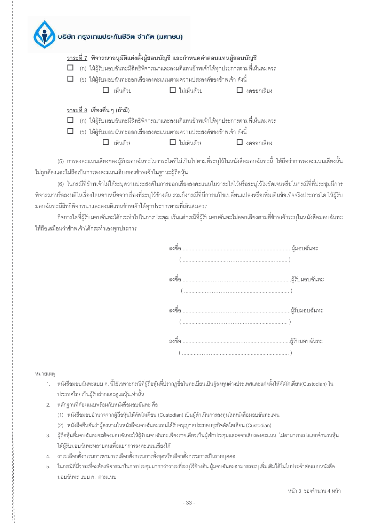|                                       | บริษัท กรุงเทพประกันชีวิต จำกัด (มหาชน)                                     |                |            |                                                                                   |  |
|---------------------------------------|-----------------------------------------------------------------------------|----------------|------------|-----------------------------------------------------------------------------------|--|
|                                       |                                                                             |                |            | <u>วาระที่ 7</u> พิจารณาอนุมัติแต่งตั้งผู้สอบบัญชี และกำหนดค่าตอบแทนผู้สอบบัญชี   |  |
|                                       |                                                                             |                |            | (ก) ให้ผู้รับมอบฉันทะมีสิทธิพิจารณาและลงมติแทนข้าพเจ้าได้ทุกประการตามที่เห็นสมควร |  |
|                                       | $\Box$ (ข) ให้ผู้รับมอบฉันทะออกเสียงลงคะแนนตามความประสงค์ของข้าพเจ้า ดังนี้ |                |            |                                                                                   |  |
|                                       | เห็นด้วย                                                                    | ี่ ไม่เห็นด้วย |            | $\Box$ งดออกเสียง                                                                 |  |
| <u>วาระที่ 8</u> เรื่องอื่น ๆ (ถ้ามี) |                                                                             |                |            |                                                                                   |  |
|                                       |                                                                             |                |            | (ก) ให้ผู้รับมอบฉันทะมีสิทธิพิจารณาและลงมติแทนข้าพเจ้าได้ทุกประการตามที่เห็นสมควร |  |
|                                       | (ข)  ให้ผู้รับมอบฉันทะออกเสียงลงคะแนนตามความประสงค์ของข้าพเจ้า ดังนี้       |                |            |                                                                                   |  |
|                                       | เห็นด้วย                                                                    |                | ไปเห็บด้วย | งดออกเสียง                                                                        |  |

(5) การลงคะแนนเสียงของผู้รับมอบฉันทะในวาระใดที่ไม่เป็นไปตามที่ระบุไว้ในหนังสือมอบฉันทะนี้ ให้ถือว่าการลงคะแนนเสียงนั้น ไม่ถูกต้องและไม่ถือเป็นการลงคะแนนเสียงของข้าพเจ้าในฐานะผู้ถือหุ้น

(6) ในกรณีที่ข้าพเจ้าไม่ได้ระบุความประสงค์ในการออกเสียงลงคะแนนในวาระใดไว้หรือระบุไว้ไม่ขัดเจนหรือในกรณีที่ที่ประชุมมีการ ้พิจารณาหรือลงมติในเรื่องใดนอกเหนือจากเรื่องที่ระบุไว้ข้างต้น รวมถึงกรณีที่มีการแก้ไขเปลี่ยนแปลงหรือเพิ่มเติมข้อเท็จจริงประการใด ให้ผู้รับ มอบฉันทะมีสิทธิพิจารณาและลงมติแทนข้าพเจ้าได้ทุกประการตามที่เห็นสมควร

กิจการใดที่ผู้รับมอบฉันทะได้กระทำไปในการประชุม เว้นแต่กรณีที่ผู้รับมอบฉันทะไม่ออกเสียงตามที่ข้าพเจ้าระบุในหนังสือมอบฉันทะ ให้ถือเสมือนว่าข้าพเจ้าได้กระทำเองทกประการ

หมายเหต

医阿拉伯氏试验检尿道检检尿道检检尿道检检尿道检

- 1. หนังสือมอบฉันทะแบบ ค. นี้ใช้เฉพาะกรณีที่ผู้ถือหุ้นที่ปรากฏชื่อในทะเบียนเป็นผู้ลงทุนต่างประเทศและแต่งตั้งให้คัสโตเดียน(Custodian) ใน ประเทศไทยเป็นผู้รับฝากและดูแลหุ้นเท่านั้น
- 2. หลักฐานที่ต้องแนบพร้อมกับหนังสือมอบฉันทะ คือ
	- (1) หนังสือมอบอำนาจจากผู้ถือหุ้นให้คัสโตเดียน (Custodian) เป็นผู้ดำเนินการลงทุนในหนังสือมอบฉันทะแทน
	- (2) หนังสือยืนยันว่าผู้ลงนามในหนังสือมอบฉันทะแทนได้รับอนุญาตประกอบธุรกิจคัสโตเดียน (Custodian)
- ่ 3. ผู้ถือหุ้นที่มอบฉันทะจะต้องมอบฉันทะให้ผู้รับมอบฉันทะเพียงรายเดียวเป็นผู้เข้าประชุมและออกเสียงลงคะแนน ไม่สามารถแบ่งแยกจำนวนหุ้น ให้ผู้รับมอบฉันทะหลายคนเพื่อแยกการลงคะแนนเสียงได้
- 4. วาระเลือกตั้งกรรมการสามารถเลือกตั้งกรรมการทั้งชุดหรือเลือกตั้งกรรมการเป็นรายบุคคล
- 5. ในกรณีที่มีวาระที่จะต้องพิจารณาในการประชุมมากกว่าวาระที่ระบุไว้ข้างต้น ผู้มอบฉันทะสามารถระบุเพิ่มเติมได้ในใบประจำต่อแบบหนังสือ มอบฉันทะ แบบ ค. ตามแนบ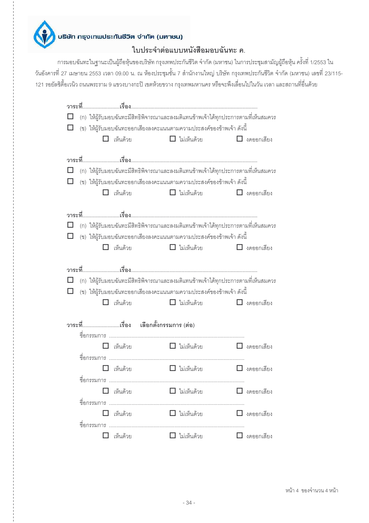

### ใบประจำต่อแบบหนังสือมอบฉันทะ ค.

การมอบฉันทะในฐานะเป็นผู้ถือหุ้นของบริษัท กรุงเทพประกันชีวิต จำกัด (มหาชน) ในการประชุมสามัญผู้ถือหุ้น ครั้งที่ 1/2553 ใน ้วันอังคารที่ 27 เมษายน 2553 เวลา 09.00 น. ณ ห้องประชุมชั้น 7 สำนักงานใหญ่ บริษัท กรุงเทพประกันชีวิต จำกัด (มหาชน) เลขที่ 23/115-121 รอยัลซิตี้อเวนิว ถนนพระราม 9 แขวงบางกะปิ เขตห้วยขวาง กรุงเทพมหานคร หรือจะพึงเลื่อนไปในวัน เวลา และสถานที่อื่นด้วย

|   |                                     | (ก) ให้ผู้รับมอบฉันทะมีสิทธิพิจารณาและลงมติแทนข้าพเจ้าได้ทุกประการตามที่เห็นสมควร                                                                                                |                   |
|---|-------------------------------------|----------------------------------------------------------------------------------------------------------------------------------------------------------------------------------|-------------------|
|   |                                     | (ข) ให้ผู้รับมอบฉันทะออกเสี่ยงลงคะแนนตามความประสงค์ของข้าพเจ้า ดังนี้                                                                                                            |                   |
|   | เห็นด้วย                            | $\Box$ ไม่เห็นด้วย                                                                                                                                                               | $\Box$ งดออกเสียง |
|   | □ เห็นด้วย                          | (ก) ให้ผู้รับมอบฉันทะมีสิทธิพิจารณาและลงมติแทนข้าพเจ้าได้ทุกประการตามที่เห็นสมควร<br>(ข) ให้ผู้รับมอบฉันทะออกเสี่ยงลงคะแนนตามความประสงค์ของข้าพเจ้า ดังนี้<br>$\Box$ ไม่เห็นด้วย | $\Box$ งดออกเสียง |
|   |                                     |                                                                                                                                                                                  |                   |
|   |                                     | (ก) ให้ผู้รับมอบฉันทะมีสิทธิพิจารณาและลงมติแทนข้าพเจ้าได้ทุกประการตามที่เห็นสมควร                                                                                                |                   |
|   |                                     | (ข) ให้ผู้รับมอบฉันทะออกเสียงลงคะแนนตามความประสงค์ของข้าพเจ้า ดังนี้                                                                                                             |                   |
|   | เห็นด้วย<br>П                       | $\Box$ ไม่เห็นด้วย                                                                                                                                                               | $\Box$ งดออกเสียง |
|   |                                     |                                                                                                                                                                                  |                   |
|   |                                     |                                                                                                                                                                                  |                   |
|   |                                     | (ก) ให้ผู้รับมอบฉันทะมีสิทธิพิจารณาและลงมติแทนข้าพเจ้าได้ทุกประการตามที่เห็นสมควร                                                                                                |                   |
|   |                                     | (ข) ให้ผู้รับมอบฉันทะออกเสียงลงคะแนนตามความประสงค์ของข้าพเจ้า ดังนี้                                                                                                             |                   |
|   |                                     |                                                                                                                                                                                  |                   |
|   | เห็นด้วย                            |                                                                                                                                                                                  | $\Box$ งดออกเสียง |
|   |                                     | $\Box$ ไม่เห็นด้วย                                                                                                                                                               |                   |
|   |                                     |                                                                                                                                                                                  |                   |
|   | วาระที่เรื่อง เลือกตั้งกรรมการ(ต่อ) |                                                                                                                                                                                  |                   |
|   | เห็นด้วย                            | $\Box$ ไม่เห็นด้วย                                                                                                                                                               | $\Box$ งดออกเสียง |
|   |                                     |                                                                                                                                                                                  |                   |
|   | เห็นด้วย                            | $\Box$ ไม่เห็นด้วย                                                                                                                                                               | $\Box$ งดออกเสียง |
| ᆗ | ขอกรรมการ                           |                                                                                                                                                                                  |                   |
|   | $\Box$ เห็นด้วย                     | $\Box$ ไม่เห็นด้วย                                                                                                                                                               | $\Box$ งดออกเสียง |
|   |                                     |                                                                                                                                                                                  |                   |
|   | เห็นด้วย                            | □ ไม่เห็นด้วย                                                                                                                                                                    | $\Box$ งดออกเสียง |
|   |                                     |                                                                                                                                                                                  |                   |